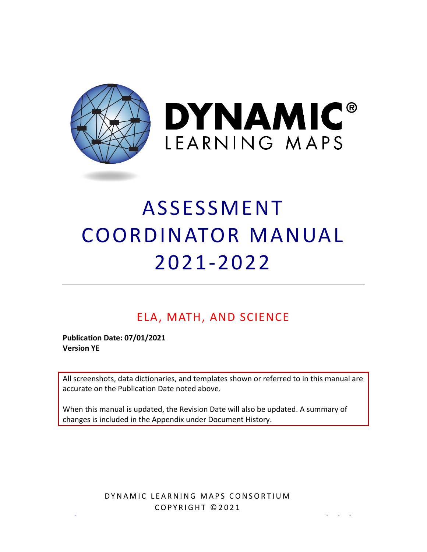

**DYNAMIC®** LEARNING MAPS

# ASSESSMENT COORDINATOR MANUAL 2021 -2022

# ELA, MATH, AND SCIENCE

**Publication Date: 07/01/2021 Version YE** 

 accurate on the Publication Date noted above. All screenshots, data dictionaries, and templates shown or referred to in this manual are

 When this manual is updated, the Revision Date will also be updated. A summary of changes is included in the Appendix under [Document History.](#page-46-0)

COPYRIGHT ©2021 [DLM-support@ku.edu](mailto:DLM-support@ku.edu) Service Desk Support 1 855 277 9751 - - - DYNAMIC LEARNING MAPS CONSORTIUM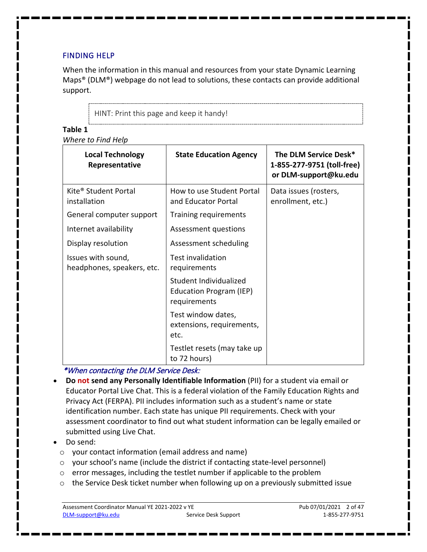#### <span id="page-1-0"></span>FINDING HELP

When the information in this manual and resources from your state Dynamic Learning Maps® (DLM®) webpage do not lead to solutions, these contacts can provide additional support.

HINT: Print this page and keep it handy!

#### **Table 1**

*Where to Find Help* 

| <b>Local Technology</b><br>Representative        | <b>State Education Agency</b>                                     | The DLM Service Desk*<br>1-855-277-9751 (toll-free)<br>or DLM-support@ku.edu |
|--------------------------------------------------|-------------------------------------------------------------------|------------------------------------------------------------------------------|
| Kite <sup>®</sup> Student Portal<br>installation | How to use Student Portal<br>and Educator Portal                  | Data issues (rosters,<br>enrollment, etc.)                                   |
| General computer support                         | Training requirements                                             |                                                                              |
| Internet availability                            | Assessment questions                                              |                                                                              |
| Display resolution                               | Assessment scheduling                                             |                                                                              |
| Issues with sound,<br>headphones, speakers, etc. | <b>Test invalidation</b><br>requirements                          |                                                                              |
|                                                  | Student Individualized<br>Education Program (IEP)<br>requirements |                                                                              |
|                                                  | Test window dates,<br>extensions, requirements,<br>etc.           |                                                                              |
|                                                  | Testlet resets (may take up<br>to 72 hours)                       |                                                                              |

<span id="page-1-1"></span>\*When contacting the DLM Service Desk:

- **Do not send any Personally Identifiable Information** (PII) for a student via email or Educator Portal Live Chat. This is a federal violation of the Family Education Rights and Privacy Act (FERPA). PII includes information such as a student's name or state identification number. Each state has unique PII requirements. Check with your assessment coordinator to find out what student information can be legally emailed or submitted using Live Chat.
- Do send:
	- o your contact information (email address and name)
	- o your school's name (include the district if contacting state-level personnel)
	- o error messages, including the testlet number if applicable to the problem
	- $\circ$  the Service Desk ticket number when following up on a previously submitted issue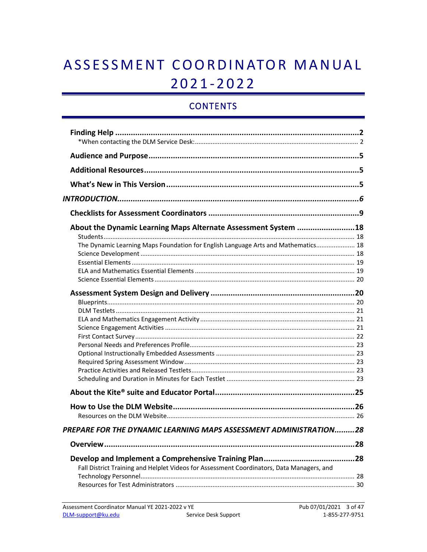# ASSESSMENT COORDINATOR MANUAL  $2021 - 2022$

# **CONTENTS**

| About the Dynamic Learning Maps Alternate Assessment System 18                            |     |
|-------------------------------------------------------------------------------------------|-----|
|                                                                                           |     |
| The Dynamic Learning Maps Foundation for English Language Arts and Mathematics 18         |     |
|                                                                                           |     |
|                                                                                           |     |
|                                                                                           |     |
|                                                                                           |     |
|                                                                                           |     |
|                                                                                           |     |
|                                                                                           |     |
|                                                                                           |     |
|                                                                                           |     |
|                                                                                           |     |
|                                                                                           |     |
|                                                                                           |     |
|                                                                                           |     |
|                                                                                           |     |
|                                                                                           |     |
|                                                                                           |     |
|                                                                                           |     |
|                                                                                           |     |
|                                                                                           |     |
|                                                                                           |     |
|                                                                                           |     |
| PREPARE FOR THE DYNAMIC LEARNING MAPS ASSESSMENT ADMINISTRATION28                         |     |
|                                                                                           | .28 |
|                                                                                           |     |
|                                                                                           |     |
| Fall District Training and Helplet Videos for Assessment Coordinators, Data Managers, and |     |
|                                                                                           |     |
|                                                                                           |     |
|                                                                                           |     |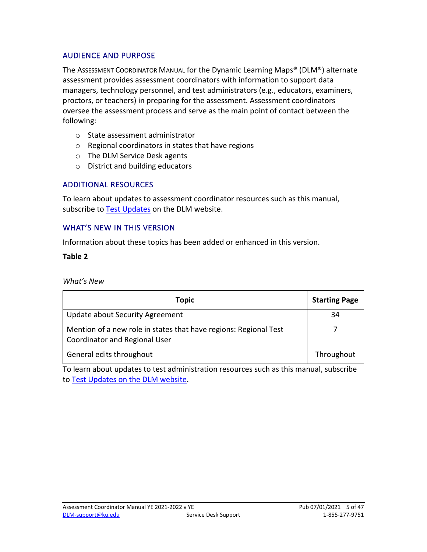#### <span id="page-4-0"></span>AUDIENCE AND PURPOSE

The ASSESSMENT COORDINATOR MANUAL for the Dynamic Learning Maps® (DLM®) alternate assessment provides assessment coordinators with information to support data managers, technology personnel, and test administrators (e.g., educators, examiners, proctors, or teachers) in preparing for the assessment. Assessment coordinators oversee the assessment process and serve as the main point of contact between the following:

- o State assessment administrator
- o Regional coordinators in states that have regions
- o The DLM Service Desk agents
- o District and building educators

#### <span id="page-4-1"></span>ADDITIONAL RESOURCES

 To learn about updates to assessment coordinator resources such as this manual, subscribe to [Test Updates](http://dynamiclearningmaps.org/test-updates) on the DLM website.

#### <span id="page-4-2"></span>WHAT'S NEW IN THIS VERSION

Information about these topics has been added or enhanced in this version.

#### **Table 2**

#### *What's New*

| Topic                                                                                             | <b>Starting Page</b> |
|---------------------------------------------------------------------------------------------------|----------------------|
| Update about Security Agreement                                                                   | 34                   |
| Mention of a new role in states that have regions: Regional Test<br>Coordinator and Regional User |                      |
| General edits throughout                                                                          | Throughout           |

To learn about updates to test administration resources such as this manual, subscribe to [Test Updates on the DLM website.](https://dynamiclearningmaps.org/test-updates)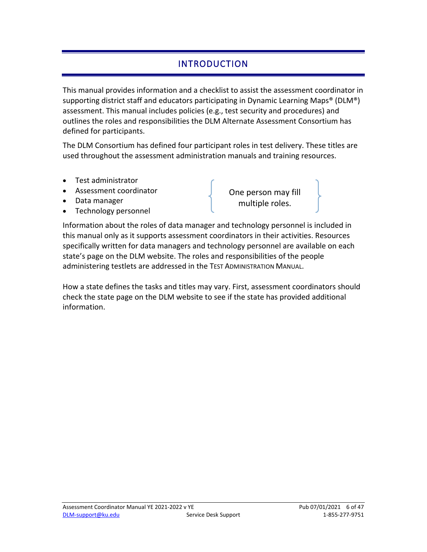# INTRODUCTION

<span id="page-5-0"></span>This manual provides information and a checklist to assist the assessment coordinator in supporting district staff and educators participating in Dynamic Learning Maps® (DLM®) assessment. This manual includes policies (e.g., test security and procedures) and outlines the roles and responsibilities the DLM Alternate Assessment Consortium has defined for participants.

The DLM Consortium has defined four participant roles in test delivery. These titles are used throughout the assessment administration manuals and training resources.

- Test administrator
- Assessment coordinator
- Data manager
- Technology personnel

One person may fill multiple roles.

 specifically written for data managers and technology personnel are available on each Information about the roles of data manager and technology personnel is included in this manual only as it supports assessment coordinators in their activities. Resources state's page on the DLM website. The roles and responsibilities of the people administering testlets are addressed in the TEST ADMINISTRATION MANUAL.

How a state defines the tasks and titles may vary. First, assessment coordinators should check the state page on the DLM website to see if the state has provided additional information.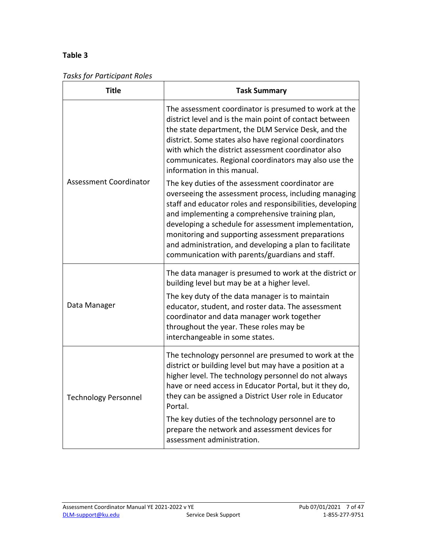#### **Table 3**

|  | <b>Tasks for Participant Roles</b> |
|--|------------------------------------|
|--|------------------------------------|

<span id="page-6-0"></span>

| <b>Title</b>                  | <b>Task Summary</b>                                                                                                                                                                                                                                                                                                                                                                                                                                  |  |
|-------------------------------|------------------------------------------------------------------------------------------------------------------------------------------------------------------------------------------------------------------------------------------------------------------------------------------------------------------------------------------------------------------------------------------------------------------------------------------------------|--|
|                               | The assessment coordinator is presumed to work at the<br>district level and is the main point of contact between<br>the state department, the DLM Service Desk, and the<br>district. Some states also have regional coordinators<br>with which the district assessment coordinator also<br>communicates. Regional coordinators may also use the<br>information in this manual.                                                                       |  |
| <b>Assessment Coordinator</b> | The key duties of the assessment coordinator are<br>overseeing the assessment process, including managing<br>staff and educator roles and responsibilities, developing<br>and implementing a comprehensive training plan,<br>developing a schedule for assessment implementation,<br>monitoring and supporting assessment preparations<br>and administration, and developing a plan to facilitate<br>communication with parents/guardians and staff. |  |
| Data Manager                  | The data manager is presumed to work at the district or<br>building level but may be at a higher level.<br>The key duty of the data manager is to maintain<br>educator, student, and roster data. The assessment<br>coordinator and data manager work together<br>throughout the year. These roles may be<br>interchangeable in some states.                                                                                                         |  |
| <b>Technology Personnel</b>   | The technology personnel are presumed to work at the<br>district or building level but may have a position at a<br>higher level. The technology personnel do not always<br>have or need access in Educator Portal, but it they do,<br>they can be assigned a District User role in Educator<br>Portal.                                                                                                                                               |  |
|                               | The key duties of the technology personnel are to<br>prepare the network and assessment devices for<br>assessment administration.                                                                                                                                                                                                                                                                                                                    |  |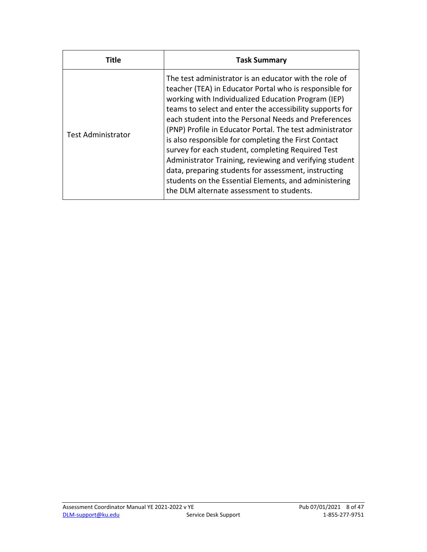| Title                     | <b>Task Summary</b>                                                                                                                                                                                                                                                                                                                                                                                                                                                                                                                                                                                                                                                                            |  |
|---------------------------|------------------------------------------------------------------------------------------------------------------------------------------------------------------------------------------------------------------------------------------------------------------------------------------------------------------------------------------------------------------------------------------------------------------------------------------------------------------------------------------------------------------------------------------------------------------------------------------------------------------------------------------------------------------------------------------------|--|
| <b>Test Administrator</b> | The test administrator is an educator with the role of<br>teacher (TEA) in Educator Portal who is responsible for<br>working with Individualized Education Program (IEP)<br>teams to select and enter the accessibility supports for<br>each student into the Personal Needs and Preferences<br>(PNP) Profile in Educator Portal. The test administrator<br>is also responsible for completing the First Contact<br>survey for each student, completing Required Test<br>Administrator Training, reviewing and verifying student<br>data, preparing students for assessment, instructing<br>students on the Essential Elements, and administering<br>the DLM alternate assessment to students. |  |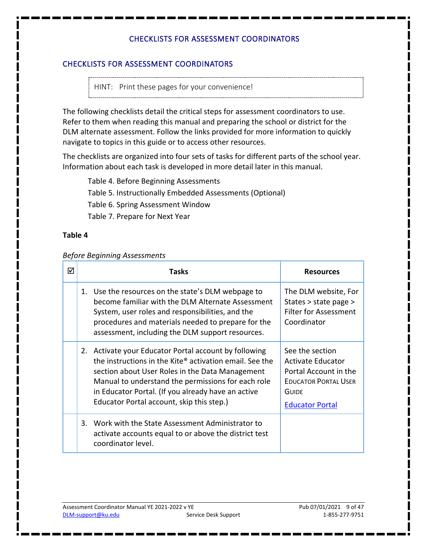#### <span id="page-8-0"></span>CHECKLISTS FOR ASSESSMENT COORDINATORS

HINT: Print these pages for your convenience!

 The following checklists detail the critical steps for assessment coordinators to use. Refer to them when reading this manual and preparing the school or district for the DLM alternate assessment. Follow the links provided for more information to quickly navigate to topics in this guide or to access other resources.

The checklists are organized into four sets of tasks for different parts of the school year. Information about each task is developed in more detail later in this manual.

Table 4. [Before Beginning Assessments](#page-8-1)  Table 5. [Instructionally Embedded Assessments \(Optional\)](#page-14-0)  Table 6. [Spring Assessment Window](#page-15-0)  Table 7. [Prepare for Next Year](#page-16-0) 

#### <span id="page-8-1"></span>**Table 4**

#### *Before Beginning Assessments*

| ☑ | Tasks                                                                                                                                                                                                                                                                                                                        | <b>Resources</b>                                                                                                                              |
|---|------------------------------------------------------------------------------------------------------------------------------------------------------------------------------------------------------------------------------------------------------------------------------------------------------------------------------|-----------------------------------------------------------------------------------------------------------------------------------------------|
|   | 1. Use the resources on the state's DLM webpage to<br>become familiar with the DLM Alternate Assessment<br>System, user roles and responsibilities, and the<br>procedures and materials needed to prepare for the<br>assessment, including the DLM support resources.                                                        | The DLM website, For<br>States > state page ><br><b>Filter for Assessment</b><br>Coordinator                                                  |
|   | 2. Activate your Educator Portal account by following<br>the instructions in the Kite® activation email. See the<br>section about User Roles in the Data Management<br>Manual to understand the permissions for each role<br>in Educator Portal. (If you already have an active<br>Educator Portal account, skip this step.) | See the section<br><b>Activate Educator</b><br>Portal Account in the<br><b>EDUCATOR PORTAL USER</b><br><b>GUIDE</b><br><b>Educator Portal</b> |
|   | 3. Work with the State Assessment Administrator to<br>activate accounts equal to or above the district test<br>coordinator level.                                                                                                                                                                                            |                                                                                                                                               |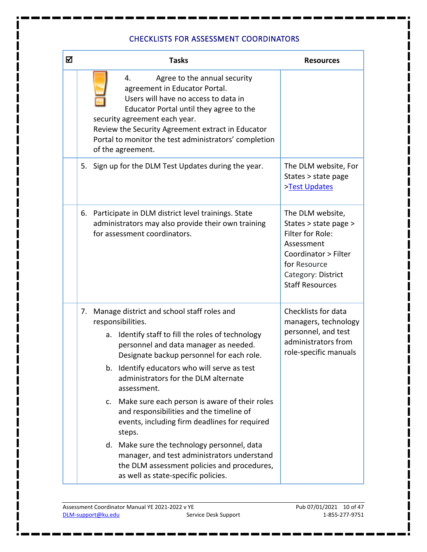| ☑ |                      | <b>Tasks</b>                                                                                                                                                                                                                                                                                                                                                                                                                                                                                                                                                                                                                                            | <b>Resources</b>                                                                                                                                                    |
|---|----------------------|---------------------------------------------------------------------------------------------------------------------------------------------------------------------------------------------------------------------------------------------------------------------------------------------------------------------------------------------------------------------------------------------------------------------------------------------------------------------------------------------------------------------------------------------------------------------------------------------------------------------------------------------------------|---------------------------------------------------------------------------------------------------------------------------------------------------------------------|
|   |                      | Agree to the annual security<br>4.<br>agreement in Educator Portal.<br>Users will have no access to data in<br>Educator Portal until they agree to the<br>security agreement each year.<br>Review the Security Agreement extract in Educator<br>Portal to monitor the test administrators' completion<br>of the agreement.                                                                                                                                                                                                                                                                                                                              |                                                                                                                                                                     |
|   |                      | 5. Sign up for the DLM Test Updates during the year.                                                                                                                                                                                                                                                                                                                                                                                                                                                                                                                                                                                                    | The DLM website, For<br>States > state page<br>>Test Updates                                                                                                        |
|   | 6.                   | Participate in DLM district level trainings. State<br>administrators may also provide their own training<br>for assessment coordinators.                                                                                                                                                                                                                                                                                                                                                                                                                                                                                                                | The DLM website,<br>States > state page ><br>Filter for Role:<br>Assessment<br>Coordinator > Filter<br>for Resource<br>Category: District<br><b>Staff Resources</b> |
|   | 7.<br>a.<br>b.<br>c. | Manage district and school staff roles and<br>responsibilities.<br>Identify staff to fill the roles of technology<br>personnel and data manager as needed.<br>Designate backup personnel for each role.<br>Identify educators who will serve as test<br>administrators for the DLM alternate<br>assessment.<br>Make sure each person is aware of their roles<br>and responsibilities and the timeline of<br>events, including firm deadlines for required<br>steps.<br>d. Make sure the technology personnel, data<br>manager, and test administrators understand<br>the DLM assessment policies and procedures,<br>as well as state-specific policies. | Checklists for data<br>managers, technology<br>personnel, and test<br>administrators from<br>role-specific manuals                                                  |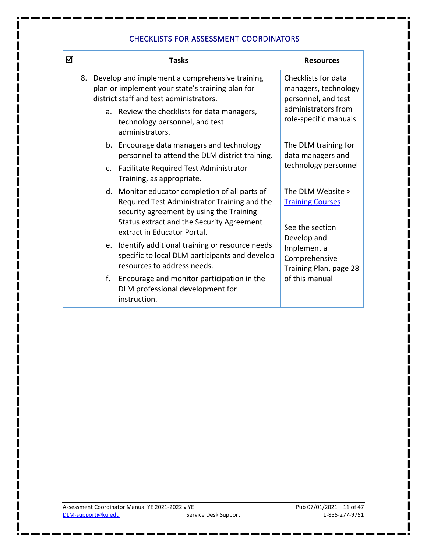| ☑ | <b>Tasks</b> |                                                                                                                                                                                                                        | <b>Resources</b>                                                      |  |
|---|--------------|------------------------------------------------------------------------------------------------------------------------------------------------------------------------------------------------------------------------|-----------------------------------------------------------------------|--|
|   |              | 8. Develop and implement a comprehensive training<br>plan or implement your state's training plan for<br>district staff and test administrators.                                                                       | Checklists for data<br>managers, technology<br>personnel, and test    |  |
|   |              | a. Review the checklists for data managers,<br>technology personnel, and test<br>administrators.                                                                                                                       | administrators from<br>role-specific manuals                          |  |
|   |              | b. Encourage data managers and technology<br>personnel to attend the DLM district training.                                                                                                                            | The DLM training for<br>data managers and                             |  |
|   |              | c. Facilitate Required Test Administrator<br>Training, as appropriate.                                                                                                                                                 | technology personnel                                                  |  |
|   |              | d. Monitor educator completion of all parts of<br>Required Test Administrator Training and the<br>security agreement by using the Training<br>Status extract and the Security Agreement<br>extract in Educator Portal. | The DLM Website ><br><b>Training Courses</b><br>See the section       |  |
|   |              | e. Identify additional training or resource needs<br>specific to local DLM participants and develop<br>resources to address needs.                                                                                     | Develop and<br>Implement a<br>Comprehensive<br>Training Plan, page 28 |  |
|   | f.           | Encourage and monitor participation in the<br>DLM professional development for<br>instruction.                                                                                                                         | of this manual                                                        |  |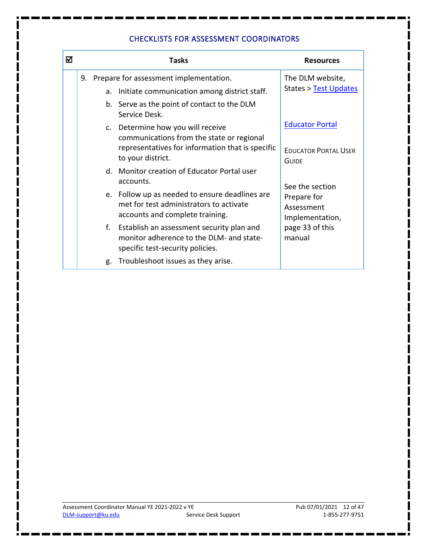| ☑ |    | Tasks                                                                                                                                                   | <b>Resources</b>                                                      |
|---|----|---------------------------------------------------------------------------------------------------------------------------------------------------------|-----------------------------------------------------------------------|
|   | 9. | Prepare for assessment implementation.<br>a. Initiate communication among district staff.                                                               | The DLM website,<br><b>States &gt; Test Updates</b>                   |
|   |    | b. Serve as the point of contact to the DLM<br>Service Desk.                                                                                            |                                                                       |
|   |    | c. Determine how you will receive<br>communications from the state or regional<br>representatives for information that is specific<br>to your district. | <b>Educator Portal</b><br><b>EDUCATOR PORTAL USER</b><br><b>GUIDE</b> |
|   |    | d. Monitor creation of Educator Portal user<br>accounts.                                                                                                | See the section                                                       |
|   |    | e. Follow up as needed to ensure deadlines are<br>met for test administrators to activate<br>accounts and complete training.                            | Prepare for<br>Assessment<br>Implementation,                          |
|   |    | f. Establish an assessment security plan and<br>monitor adherence to the DLM- and state-<br>specific test-security policies.                            | page 33 of this<br>manual                                             |
|   |    | g. Troubleshoot issues as they arise.                                                                                                                   |                                                                       |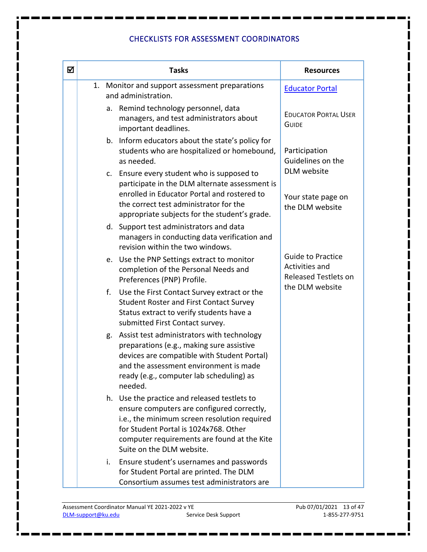| ☑ | <b>Tasks</b>                                                          |                                                                                                                                                                                                                                                                 | <b>Resources</b>                                                          |
|---|-----------------------------------------------------------------------|-----------------------------------------------------------------------------------------------------------------------------------------------------------------------------------------------------------------------------------------------------------------|---------------------------------------------------------------------------|
|   | 1. Monitor and support assessment preparations<br>and administration. |                                                                                                                                                                                                                                                                 | <b>Educator Portal</b>                                                    |
|   |                                                                       | a. Remind technology personnel, data<br>managers, and test administrators about<br>important deadlines.                                                                                                                                                         | <b>EDUCATOR PORTAL USER</b><br><b>GUIDE</b>                               |
|   |                                                                       | b. Inform educators about the state's policy for<br>students who are hospitalized or homebound,<br>as needed.                                                                                                                                                   | Participation<br>Guidelines on the                                        |
|   |                                                                       | c. Ensure every student who is supposed to<br>participate in the DLM alternate assessment is<br>enrolled in Educator Portal and rostered to<br>the correct test administrator for the<br>appropriate subjects for the student's grade.                          | DLM website<br>Your state page on<br>the DLM website                      |
|   |                                                                       | d. Support test administrators and data<br>managers in conducting data verification and<br>revision within the two windows.                                                                                                                                     |                                                                           |
|   |                                                                       | e. Use the PNP Settings extract to monitor<br>completion of the Personal Needs and<br>Preferences (PNP) Profile.                                                                                                                                                | <b>Guide to Practice</b><br>Activities and<br><b>Released Testlets on</b> |
|   | f.                                                                    | Use the First Contact Survey extract or the<br><b>Student Roster and First Contact Survey</b><br>Status extract to verify students have a<br>submitted First Contact survey.                                                                                    | the DLM website                                                           |
|   | g.                                                                    | Assist test administrators with technology<br>preparations (e.g., making sure assistive<br>devices are compatible with Student Portal)<br>and the assessment environment is made<br>ready (e.g., computer lab scheduling) as<br>needed.                         |                                                                           |
|   |                                                                       | h. Use the practice and released testlets to<br>ensure computers are configured correctly,<br>i.e., the minimum screen resolution required<br>for Student Portal is 1024x768. Other<br>computer requirements are found at the Kite<br>Suite on the DLM website. |                                                                           |
|   | i.                                                                    | Ensure student's usernames and passwords<br>for Student Portal are printed. The DLM<br>Consortium assumes test administrators are                                                                                                                               |                                                                           |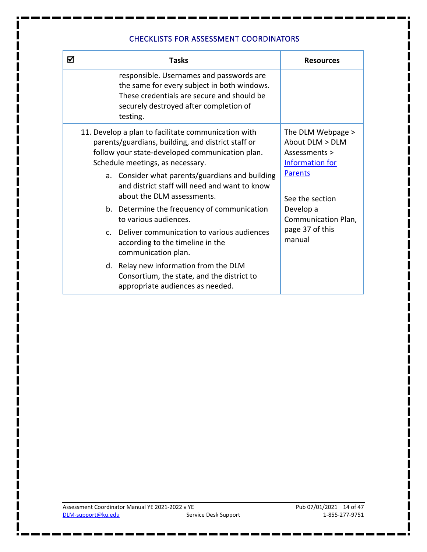| ☑ | <b>Tasks</b>                                                                                                                                                                                     | <b>Resources</b>                                                                |
|---|--------------------------------------------------------------------------------------------------------------------------------------------------------------------------------------------------|---------------------------------------------------------------------------------|
|   | responsible. Usernames and passwords are<br>the same for every subject in both windows.<br>These credentials are secure and should be<br>securely destroyed after completion of<br>testing.      |                                                                                 |
|   | 11. Develop a plan to facilitate communication with<br>parents/guardians, building, and district staff or<br>follow your state-developed communication plan.<br>Schedule meetings, as necessary. | The DLM Webpage ><br>About DLM > DLM<br>Assessments ><br><b>Information for</b> |
|   | a. Consider what parents/guardians and building<br>and district staff will need and want to know<br>about the DLM assessments.                                                                   | <b>Parents</b><br>See the section                                               |
|   | b. Determine the frequency of communication<br>to various audiences.                                                                                                                             | Develop a<br>Communication Plan,                                                |
|   | c. Deliver communication to various audiences<br>according to the timeline in the<br>communication plan.                                                                                         | page 37 of this<br>manual                                                       |
|   | d. Relay new information from the DLM<br>Consortium, the state, and the district to<br>appropriate audiences as needed.                                                                          |                                                                                 |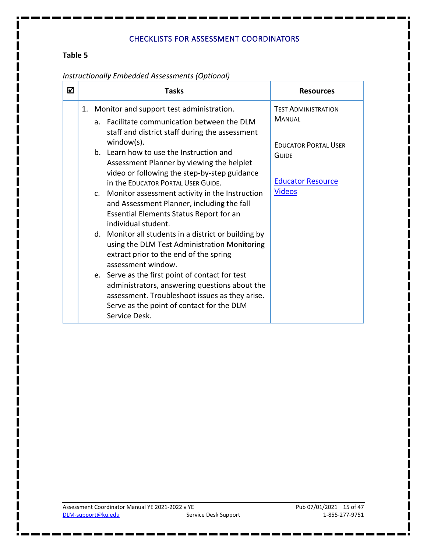#### <span id="page-14-0"></span>**Table 5**

| ⋈ |    | <b>Tasks</b>                                                                                                                                                                                                     | <b>Resources</b>                            |
|---|----|------------------------------------------------------------------------------------------------------------------------------------------------------------------------------------------------------------------|---------------------------------------------|
|   | 1. | Monitor and support test administration.<br>a. Facilitate communication between the DLM<br>staff and district staff during the assessment                                                                        | <b>TEST ADMINISTRATION</b><br><b>MANUAL</b> |
|   |    | $window(s)$ .<br>b. Learn how to use the Instruction and<br>Assessment Planner by viewing the helplet<br>video or following the step-by-step guidance                                                            | <b>EDUCATOR PORTAL USER</b><br>GUIDE        |
|   |    | in the EDUCATOR PORTAL USER GUIDE.<br>c. Monitor assessment activity in the Instruction<br>and Assessment Planner, including the fall<br><b>Essential Elements Status Report for an</b><br>individual student.   | <b>Educator Resource</b><br><b>Videos</b>   |
|   |    | d. Monitor all students in a district or building by<br>using the DLM Test Administration Monitoring<br>extract prior to the end of the spring<br>assessment window.                                             |                                             |
|   |    | e. Serve as the first point of contact for test<br>administrators, answering questions about the<br>assessment. Troubleshoot issues as they arise.<br>Serve as the point of contact for the DLM<br>Service Desk. |                                             |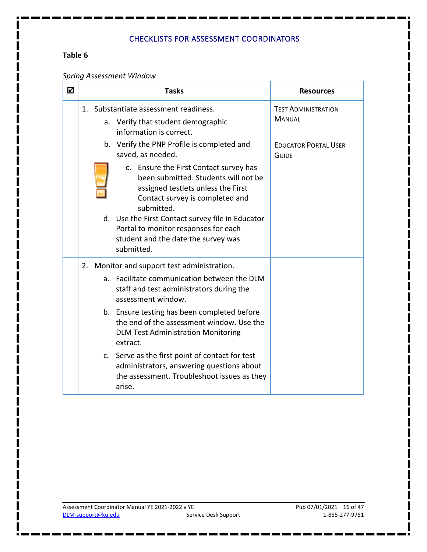#### <span id="page-15-0"></span>**Table 6**

#### *Spring Assessment Window*

| ☑ |                                                                                                        | <b>Tasks</b>                                                                                                                                                                                                                                                                                                           | <b>Resources</b>                            |
|---|--------------------------------------------------------------------------------------------------------|------------------------------------------------------------------------------------------------------------------------------------------------------------------------------------------------------------------------------------------------------------------------------------------------------------------------|---------------------------------------------|
|   | 1. Substantiate assessment readiness.<br>a. Verify that student demographic<br>information is correct. |                                                                                                                                                                                                                                                                                                                        | <b>TEST ADMINISTRATION</b><br><b>MANUAL</b> |
|   |                                                                                                        | b. Verify the PNP Profile is completed and<br>saved, as needed.                                                                                                                                                                                                                                                        | <b>EDUCATOR PORTAL USER</b><br><b>GUIDE</b> |
|   |                                                                                                        | c. Ensure the First Contact survey has<br>been submitted. Students will not be<br>assigned testlets unless the First<br>Contact survey is completed and<br>submitted.<br>d. Use the First Contact survey file in Educator<br>Portal to monitor responses for each<br>student and the date the survey was<br>submitted. |                                             |
|   | 2.                                                                                                     | Monitor and support test administration.                                                                                                                                                                                                                                                                               |                                             |
|   | a <sub>z</sub>                                                                                         | Facilitate communication between the DLM<br>staff and test administrators during the<br>assessment window.                                                                                                                                                                                                             |                                             |
|   |                                                                                                        | b. Ensure testing has been completed before<br>the end of the assessment window. Use the<br><b>DLM Test Administration Monitoring</b><br>extract.                                                                                                                                                                      |                                             |
|   |                                                                                                        | c. Serve as the first point of contact for test<br>administrators, answering questions about<br>the assessment. Troubleshoot issues as they<br>arise.                                                                                                                                                                  |                                             |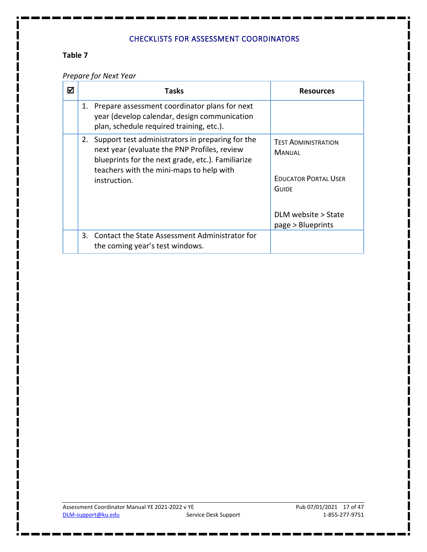#### <span id="page-16-0"></span>**Table 7**

#### *Prepare for Next Year*

| ☑ | <b>Tasks</b>                                                                                                                                                                                                         | <b>Resources</b>                                                                                                                |
|---|----------------------------------------------------------------------------------------------------------------------------------------------------------------------------------------------------------------------|---------------------------------------------------------------------------------------------------------------------------------|
|   | 1. Prepare assessment coordinator plans for next<br>year (develop calendar, design communication<br>plan, schedule required training, etc.).                                                                         |                                                                                                                                 |
|   | 2. Support test administrators in preparing for the<br>next year (evaluate the PNP Profiles, review<br>blueprints for the next grade, etc.). Familiarize<br>teachers with the mini-maps to help with<br>instruction. | <b>TEST ADMINISTRATION</b><br><b>MANUAL</b><br><b>EDUCATOR PORTAL USER</b><br>GUIDE<br>DLM website > State<br>page > Blueprints |
|   | 3. Contact the State Assessment Administrator for<br>the coming year's test windows.                                                                                                                                 |                                                                                                                                 |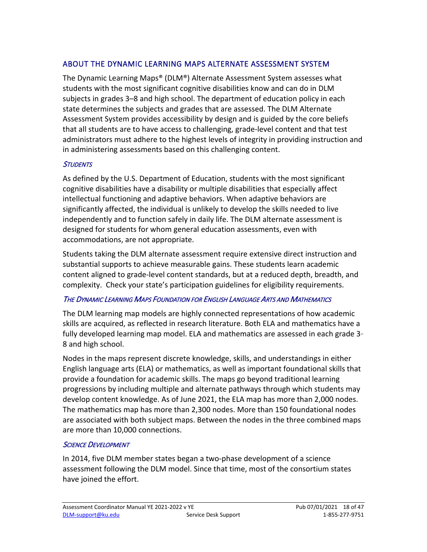#### <span id="page-17-0"></span>ABOUT THE DYNAMIC LEARNING MAPS ALTERNATE ASSESSMENT SYSTEM

 state determines the subjects and grades that are assessed. The DLM Alternate The Dynamic Learning Maps® (DLM®) Alternate Assessment System assesses what students with the most significant cognitive disabilities know and can do in DLM subjects in grades 3–8 and high school. The department of education policy in each Assessment System provides accessibility by design and is guided by the core beliefs that all students are to have access to challenging, grade-level content and that test administrators must adhere to the highest levels of integrity in providing instruction and in administering assessments based on this challenging content.

#### <span id="page-17-1"></span>**STUDENTS**

As defined by the U.S. Department of Education, students with the most significant cognitive disabilities have a disability or multiple disabilities that especially affect intellectual functioning and adaptive behaviors. When adaptive behaviors are significantly affected, the individual is unlikely to develop the skills needed to live independently and to function safely in daily life. The DLM alternate assessment is designed for students for whom general education assessments, even with accommodations, are not appropriate.

 complexity. Check your state's participation guidelines for eligibility requirements. Students taking the DLM alternate assessment require extensive direct instruction and substantial supports to achieve measurable gains. These students learn academic content aligned to grade-level content standards, but at a reduced depth, breadth, and

#### <span id="page-17-2"></span>THE DYNAMIC LEARNING MAPS FOUNDATION FOR ENGLISH LANGUAGE ARTS AND MATHEMATICS

The DLM learning map models are highly connected representations of how academic skills are acquired, as reflected in research literature. Both ELA and mathematics have a fully developed learning map model. ELA and mathematics are assessed in each grade 3– 8 and high school.

 progressions by including multiple and alternate pathways through which students may develop content knowledge. As of June 2021, the ELA map has more than 2,000 nodes. Nodes in the maps represent discrete knowledge, skills, and understandings in either English language arts (ELA) or mathematics, as well as important foundational skills that provide a foundation for academic skills. The maps go beyond traditional learning The mathematics map has more than 2,300 nodes. More than 150 foundational nodes are associated with both subject maps. Between the nodes in the three combined maps are more than 10,000 connections.

#### <span id="page-17-3"></span>**SCIENCE DEVELOPMENT**

In 2014, five DLM member states began a two-phase development of a science assessment following the DLM model. Since that time, most of the consortium states have joined the effort.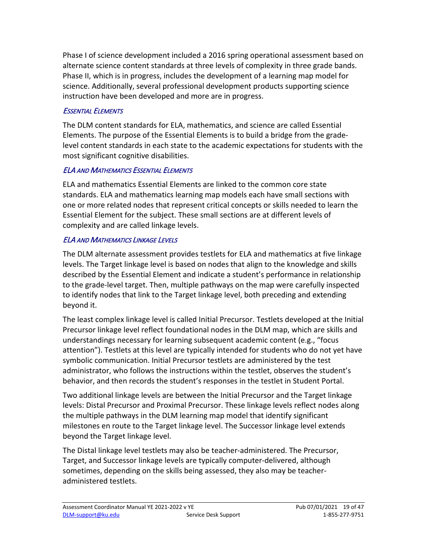Phase I of science development included a 2016 spring operational assessment based on science. Additionally, several professional development products supporting science instruction have been developed and more are in progress. alternate science content standards at three levels of complexity in three grade bands. Phase II, which is in progress, includes the development of a learning map model for

#### <span id="page-18-0"></span>ESSENTIAL ELEMENTS

The DLM content standards for ELA, mathematics, and science are called Essential Elements. The purpose of the Essential Elements is to build a bridge from the gradelevel content standards in each state to the academic expectations for students with the most significant cognitive disabilities.

#### <span id="page-18-1"></span>ELA AND MATHEMATICS ESSENTIAL ELEMENTS

 ELA and mathematics Essential Elements are linked to the common core state standards. ELA and mathematics learning map models each have small sections with one or more related nodes that represent critical concepts or skills needed to learn the Essential Element for the subject. These small sections are at different levels of complexity and are called linkage levels.

#### ELA AND MATHEMATICS LINKAGE LEVELS

The DLM alternate assessment provides testlets for ELA and mathematics at five linkage levels. The Target linkage level is based on nodes that align to the knowledge and skills described by the Essential Element and indicate a student's performance in relationship to the grade-level target. Then, multiple pathways on the map were carefully inspected to identify nodes that link to the Target linkage level, both preceding and extending beyond it.

The least complex linkage level is called Initial Precursor. Testlets developed at the Initial Precursor linkage level reflect foundational nodes in the DLM map, which are skills and understandings necessary for learning subsequent academic content (e.g., "focus attention"). Testlets at this level are typically intended for students who do not yet have symbolic communication. Initial Precursor testlets are administered by the test administrator, who follows the instructions within the testlet, observes the student's behavior, and then records the student's responses in the testlet in Student Portal.

 the multiple pathways in the DLM learning map model that identify significant Two additional linkage levels are between the Initial Precursor and the Target linkage levels: Distal Precursor and Proximal Precursor. These linkage levels reflect nodes along milestones en route to the Target linkage level. The Successor linkage level extends beyond the Target linkage level.

The Distal linkage level testlets may also be teacher-administered. The Precursor, Target, and Successor linkage levels are typically computer-delivered, although sometimes, depending on the skills being assessed, they also may be teacheradministered testlets.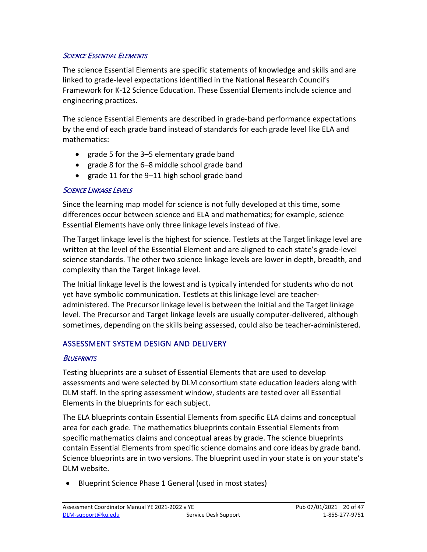#### <span id="page-19-0"></span>**SCIENCE ESSENTIAL ELEMENTS**

The science Essential Elements are specific statements of knowledge and skills and are linked to grade-level expectations identified in the National Research Council's Framework for K-12 Science Education. These Essential Elements include science and engineering practices.

 by the end of each grade band instead of standards for each grade level like ELA and The science Essential Elements are described in grade-band performance expectations mathematics:

- grade 5 for the 3–5 elementary grade band
- grade 8 for the 6–8 middle school grade band
- grade 11 for the 9–11 high school grade band

#### SCIENCE LINKAGE LEVELS

 Essential Elements have only three linkage levels instead of five. Since the learning map model for science is not fully developed at this time, some differences occur between science and ELA and mathematics; for example, science

 The Target linkage level is the highest for science. Testlets at the Target linkage level are science standards. The other two science linkage levels are lower in depth, breadth, and written at the level of the Essential Element and are aligned to each state's grade-level complexity than the Target linkage level.

The Initial linkage level is the lowest and is typically intended for students who do not yet have symbolic communication. Testlets at this linkage level are teacheradministered. The Precursor linkage level is between the Initial and the Target linkage level. The Precursor and Target linkage levels are usually computer-delivered, although sometimes, depending on the skills being assessed, could also be teacher-administered.

#### <span id="page-19-1"></span>ASSESSMENT SYSTEM DESIGN AND DELIVERY

#### <span id="page-19-2"></span>**BLUEPRINTS**

 assessments and were selected by DLM consortium state education leaders along with Elements in the blueprints for each subject. Testing blueprints are a subset of Essential Elements that are used to develop DLM staff. In the spring assessment window, students are tested over all Essential

 The ELA blueprints contain Essential Elements from specific ELA claims and conceptual area for each grade. The mathematics blueprints contain Essential Elements from contain Essential Elements from specific science domains and core ideas by grade band. specific mathematics claims and conceptual areas by grade. The science blueprints Science blueprints are in two versions. The blueprint used in your state is on your state's DLM website.

• Blueprint Science Phase 1 General (used in most states)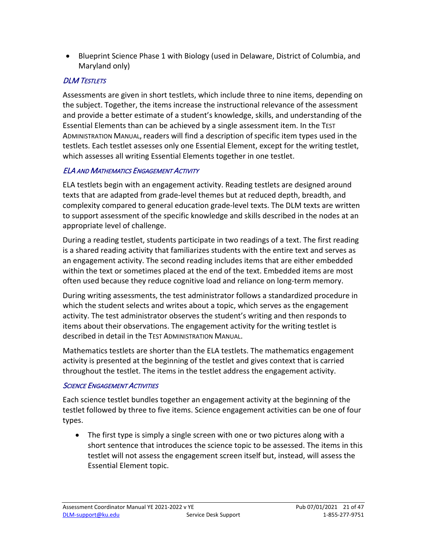• Blueprint Science Phase 1 with Biology (used in Delaware, District of Columbia, and Maryland only)

#### <span id="page-20-0"></span>**DLM TESTLETS**

 and provide a better estimate of a student's knowledge, skills, and understanding of the ADMINISTRATION MANUAL, readers will find a description of specific item types used in the which assesses all writing Essential Elements together in one testlet. Assessments are given in short testlets, which include three to nine items, depending on the subject. Together, the items increase the instructional relevance of the assessment Essential Elements than can be achieved by a single assessment item. In the TEST testlets. Each testlet assesses only one Essential Element, except for the writing testlet,

#### <span id="page-20-1"></span>ELA AND MATHEMATICS ENGAGEMENT ACTIVITY

 texts that are adapted from grade-level themes but at reduced depth, breadth, and ELA testlets begin with an engagement activity. Reading testlets are designed around complexity compared to general education grade-level texts. The DLM texts are written to support assessment of the specific knowledge and skills described in the nodes at an appropriate level of challenge.

During a reading testlet, students participate in two readings of a text. The first reading is a shared reading activity that familiarizes students with the entire text and serves as an engagement activity. The second reading includes items that are either embedded within the text or sometimes placed at the end of the text. Embedded items are most often used because they reduce cognitive load and reliance on long-term memory.

 items about their observations. The engagement activity for the writing testlet is During writing assessments, the test administrator follows a standardized procedure in which the student selects and writes about a topic, which serves as the engagement activity. The test administrator observes the student's writing and then responds to described in detail in the TEST ADMINISTRATION MANUAL.

 Mathematics testlets are shorter than the ELA testlets. The mathematics engagement activity is presented at the beginning of the testlet and gives context that is carried throughout the testlet. The items in the testlet address the engagement activity.

#### <span id="page-20-2"></span>**SCIENCE ENGAGEMENT ACTIVITIES**

 types. Each science testlet bundles together an engagement activity at the beginning of the testlet followed by three to five items. Science engagement activities can be one of four

 Essential Element topic. • The first type is simply a single screen with one or two pictures along with a short sentence that introduces the science topic to be assessed. The items in this testlet will not assess the engagement screen itself but, instead, will assess the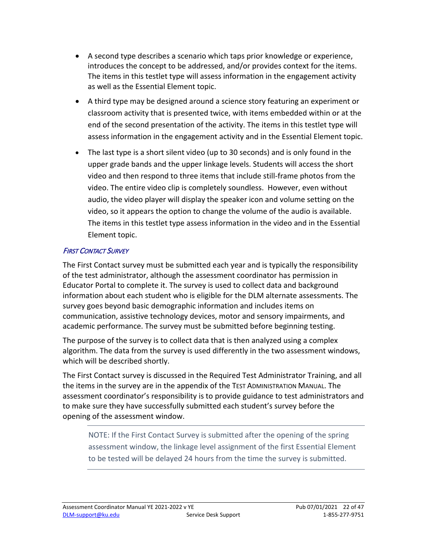- • A second type describes a scenario which taps prior knowledge or experience, as well as the Essential Element topic. introduces the concept to be addressed, and/or provides context for the items. The items in this testlet type will assess information in the engagement activity
- A third type may be designed around a science story featuring an experiment or classroom activity that is presented twice, with items embedded within or at the end of the second presentation of the activity. The items in this testlet type will assess information in the engagement activity and in the Essential Element topic.
- video, so it appears the option to change the volume of the audio is available. Element topic. • The last type is a short silent video (up to 30 seconds) and is only found in the upper grade bands and the upper linkage levels. Students will access the short video and then respond to three items that include still-frame photos from the video. The entire video clip is completely soundless. However, even without audio, the video player will display the speaker icon and volume setting on the The items in this testlet type assess information in the video and in the Essential

#### <span id="page-21-0"></span>FIRST CONTACT SURVEY

 information about each student who is eligible for the DLM alternate assessments. The academic performance. The survey must be submitted before beginning testing. The First Contact survey must be submitted each year and is typically the responsibility of the test administrator, although the assessment coordinator has permission in Educator Portal to complete it. The survey is used to collect data and background survey goes beyond basic demographic information and includes items on communication, assistive technology devices, motor and sensory impairments, and

academic performance. The survey must be submitted before beginning testing.<br>The purpose of the survey is to collect data that is then analyzed using a complex algorithm. The data from the survey is used differently in the two assessment windows, which will be described shortly.

 assessment coordinator's responsibility is to provide guidance to test administrators and The First Contact survey is discussed in the Required Test Administrator Training, and all the items in the survey are in the appendix of the TEST ADMINISTRATION MANUAL. The to make sure they have successfully submitted each student's survey before the opening of the assessment window.

 to be tested will be delayed 24 hours from the time the survey is submitted. NOTE: If the First Contact Survey is submitted after the opening of the spring assessment window, the linkage level assignment of the first Essential Element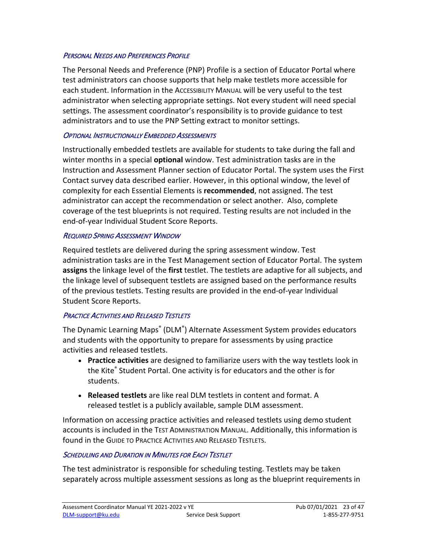#### <span id="page-22-0"></span>PERSONAL NEEDS AND PREFERENCES PROFILE

The Personal Needs and Preference (PNP) Profile is a section of Educator Portal where test administrators can choose supports that help make testlets more accessible for each student. Information in the ACCESSIBILITY MANUAL will be very useful to the test administrator when selecting appropriate settings. Not every student will need special settings. The assessment coordinator's responsibility is to provide guidance to test administrators and to use the PNP Setting extract to monitor settings.

#### <span id="page-22-1"></span>OPTIONAL INSTRUCTIONALLY EMBEDDED ASSESSMENTS

 Instructionally embedded testlets are available for students to take during the fall and winter months in a special **optional** window. Test administration tasks are in the Contact survey data described earlier. However, in this optional window, the level of Instruction and Assessment Planner section of Educator Portal. The system uses the First complexity for each Essential Elements is **recommended**, not assigned. The test administrator can accept the recommendation or select another. Also, complete coverage of the test blueprints is not required. Testing results are not included in the end-of-year Individual Student Score Reports.

#### <span id="page-22-2"></span>REQUIRED SPRING ASSESSMENT WINDOW

 **assigns** the linkage level of the **first** testlet. The testlets are adaptive for all subjects, and Required testlets are delivered during the spring assessment window. Test administration tasks are in the Test Management section of Educator Portal. The system the linkage level of subsequent testlets are assigned based on the performance results of the previous testlets. Testing results are provided in the end-of-year Individual Student Score Reports.

#### <span id="page-22-3"></span>**PRACTICE ACTIVITIES AND RELEASED TESTLETS**

 activities and released testlets. The Dynamic Learning Maps® (DLM®) Alternate Assessment System provides educators and students with the opportunity to prepare for assessments by using practice

- • **Practice activities** are designed to familiarize users with the way testlets look in the Kite® Student Portal. One activity is for educators and the other is for students.
- **Released testlets** are like real DLM testlets in content and format. A released testlet is a publicly available, sample DLM assessment.

Information on accessing practice activities and released testlets using demo student accounts is included in the TEST ADMINISTRATION MANUAL. Additionally, this information is found in the GUIDE TO PRACTICE ACTIVITIES AND RELEASED TESTLETS.

#### <span id="page-22-4"></span>**SCHEDULING AND DURATION IN MINUTES FOR EACH TESTLET**

The test administrator is responsible for scheduling testing. Testlets may be taken separately across multiple assessment sessions as long as the blueprint requirements in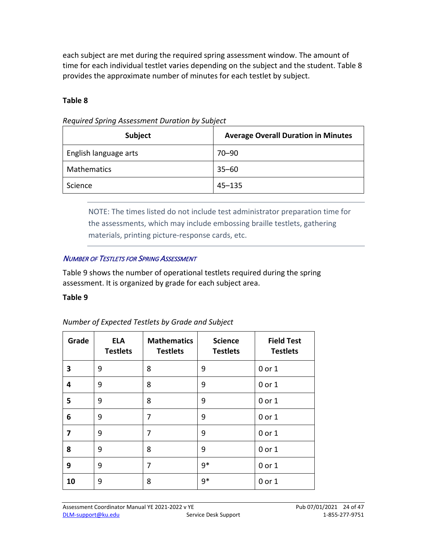time for each individual testlet varies depending on the subject and the student. [Table 8](#page-23-0)  each subject are met during the required spring assessment window. The amount of provides the approximate number of minutes for each testlet by subject.

#### <span id="page-23-0"></span> **Table 8**

| Subject               | <b>Average Overall Duration in Minutes</b> |  |  |
|-----------------------|--------------------------------------------|--|--|
| English language arts | $70 - 90$                                  |  |  |
| <b>Mathematics</b>    | $35 - 60$                                  |  |  |
| Science               | $45 - 135$                                 |  |  |

 *Required Spring Assessment Duration by Subject* 

NOTE: The times listed do not include test administrator preparation time for the assessments, which may include embossing braille testlets, gathering materials, printing picture-response cards, etc.

#### NUMBER OF TESTLETS FOR SPRING ASSESSMENT

 [Table 9](#page-23-1) shows the number of operational testlets required during the spring assessment. It is organized by grade for each subject area.

#### <span id="page-23-1"></span>**Table 9**

| Number of Expected Testlets by Grade and Subject |  |  |
|--------------------------------------------------|--|--|
|                                                  |  |  |

| Grade | <b>ELA</b><br><b>Testlets</b> | <b>Mathematics</b><br><b>Testlets</b> | <b>Science</b><br><b>Testlets</b> | <b>Field Test</b><br><b>Testlets</b> |
|-------|-------------------------------|---------------------------------------|-----------------------------------|--------------------------------------|
| 3     | 9                             | 8                                     | 9                                 | 0 or 1                               |
| 4     | 9                             | 8                                     | 9                                 | 0 or 1                               |
| 5     | 9                             | 8                                     | 9                                 | $0$ or $1$                           |
| 6     | 9                             | 7                                     | 9                                 | 0 or 1                               |
| 7     | 9                             | 7                                     | 9                                 | 0 or 1                               |
| 8     | 9                             | 8                                     | 9                                 | 0 or 1                               |
| 9     | 9                             | 7                                     | $9*$                              | $0$ or $1$                           |
| 10    | 9                             | 8                                     | $9*$                              | $0$ or $1$                           |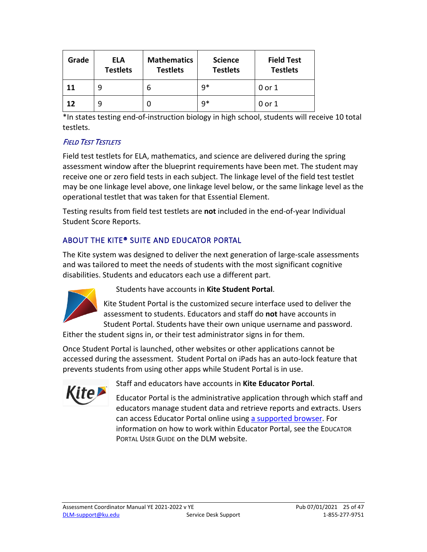| Grade | ELA<br><b>Testlets</b> | <b>Mathematics</b><br><b>Testlets</b> | <b>Science</b><br><b>Testlets</b> | <b>Field Test</b><br><b>Testlets</b> |
|-------|------------------------|---------------------------------------|-----------------------------------|--------------------------------------|
| 11    | 9                      | 6                                     | $9*$                              | 0 or 1                               |
| 12    | q                      |                                       | $9*$                              | 0 or 1                               |

 \*In states testing end-of-instruction biology in high school, students will receive 10 total testlets.

#### **FIELD TEST TESTLETS**

 may be one linkage level above, one linkage level below, or the same linkage level as the Field test testlets for ELA, mathematics, and science are delivered during the spring assessment window after the blueprint requirements have been met. The student may receive one or zero field tests in each subject. The linkage level of the field test testlet operational testlet that was taken for that Essential Element.

Testing results from field test testlets are **not** included in the end-of-year Individual Student Score Reports.

## <span id="page-24-0"></span>ABOUT THE KITE® SUITE AND EDUCATOR PORTAL

The Kite system was designed to deliver the next generation of large-scale assessments and was tailored to meet the needs of students with the most significant cognitive disabilities. Students and educators each use a different part.



Students have accounts in **Kite Student Portal**.

 Student Portal. Students have their own unique username and password. Kite Student Portal is the customized secure interface used to deliver the assessment to students. Educators and staff do **not** have accounts in

Either the student signs in, or their test administrator signs in for them.

 prevents students from using other apps while Student Portal is in use. Once Student Portal is launched, other websites or other applications cannot be accessed during the assessment. Student Portal on iPads has an auto-lock feature that



Staff and educators have accounts in **Kite Educator Portal**.

 Educator Portal is the administrative application through which staff and educators manage student data and retrieve reports and extracts. Users can access Educator Portal online using [a supported browser.](https://dynamiclearningmaps.org/supported-web-browsers-kite-educator-portal) For information on how to work within Educator Portal, see the EDUCATOR PORTAL USER GUIDE on the DLM website.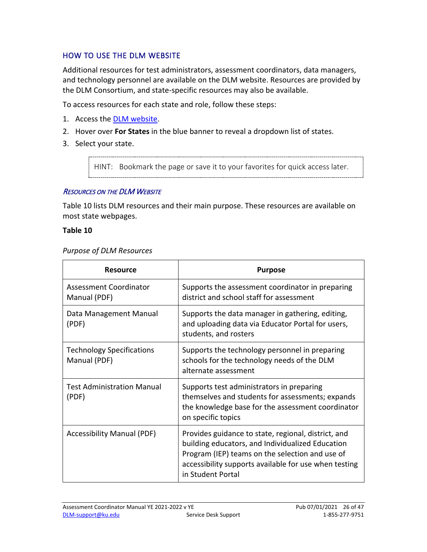#### <span id="page-25-0"></span>HOW TO USE THE DLM WEBSITE

Additional resources for test administrators, assessment coordinators, data managers, and technology personnel are available on the DLM website. Resources are provided by the DLM Consortium, and state-specific resources may also be available.

To access resources for each state and role, follow these steps:

- 1. Access the **DLM website**.
- 2. Hover over **For States** in the blue banner to reveal a dropdown list of states.
- 3. Select your state.

HINT: Bookmark the page or save it to your favorites for quick access later.

#### <span id="page-25-1"></span>RESOURCES ON THE DLM WEBSITE

 [Table 10](#page-25-2) lists DLM resources and their main purpose. These resources are available on most state webpages.

#### <span id="page-25-2"></span> **Table 10**

#### *Purpose of DLM Resources*

| <b>Resource</b>                                  | <b>Purpose</b>                                                                                                                                                                                                                           |
|--------------------------------------------------|------------------------------------------------------------------------------------------------------------------------------------------------------------------------------------------------------------------------------------------|
| <b>Assessment Coordinator</b><br>Manual (PDF)    | Supports the assessment coordinator in preparing<br>district and school staff for assessment                                                                                                                                             |
| Data Management Manual<br>(PDF)                  | Supports the data manager in gathering, editing,<br>and uploading data via Educator Portal for users,<br>students, and rosters                                                                                                           |
| <b>Technology Specifications</b><br>Manual (PDF) | Supports the technology personnel in preparing<br>schools for the technology needs of the DLM<br>alternate assessment                                                                                                                    |
| <b>Test Administration Manual</b><br>(PDF)       | Supports test administrators in preparing<br>themselves and students for assessments; expands<br>the knowledge base for the assessment coordinator<br>on specific topics                                                                 |
| <b>Accessibility Manual (PDF)</b>                | Provides guidance to state, regional, district, and<br>building educators, and Individualized Education<br>Program (IEP) teams on the selection and use of<br>accessibility supports available for use when testing<br>in Student Portal |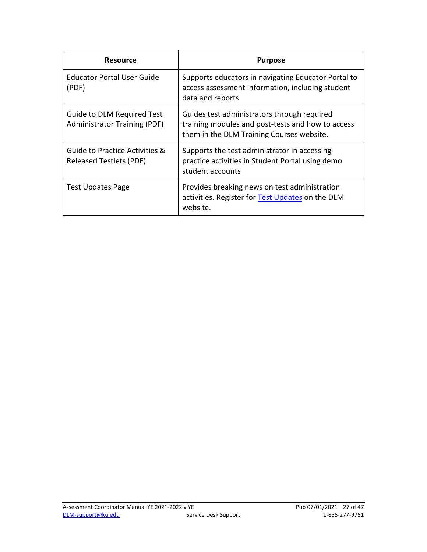| <b>Resource</b>                                                          | <b>Purpose</b>                                                                                                                                |
|--------------------------------------------------------------------------|-----------------------------------------------------------------------------------------------------------------------------------------------|
| Educator Portal User Guide<br>(PDF)                                      | Supports educators in navigating Educator Portal to<br>access assessment information, including student<br>data and reports                   |
| <b>Guide to DLM Required Test</b><br><b>Administrator Training (PDF)</b> | Guides test administrators through required<br>training modules and post-tests and how to access<br>them in the DLM Training Courses website. |
| Guide to Practice Activities &<br><b>Released Testlets (PDF)</b>         | Supports the test administrator in accessing<br>practice activities in Student Portal using demo<br>student accounts                          |
| <b>Test Updates Page</b>                                                 | Provides breaking news on test administration<br>activities. Register for Test Updates on the DLM<br>website.                                 |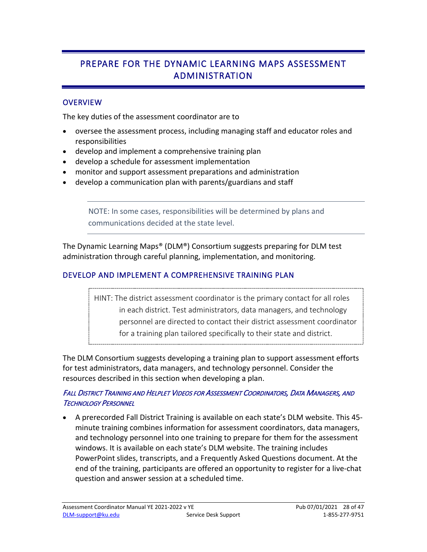# <span id="page-27-0"></span>PREPARE FOR THE DYNAMIC LEARNING MAPS ASSESSMENT ADMINISTRATION

#### <span id="page-27-1"></span>**OVERVIEW**

The key duties of the assessment coordinator are to

- oversee the assessment process, including managing staff and educator roles and responsibilities
- develop and implement a comprehensive training plan
- develop a schedule for assessment implementation
- monitor and support assessment preparations and administration
- develop a communication plan with parents/guardians and staff

NOTE: In some cases, responsibilities will be determined by plans and communications decided at the state level.

The Dynamic Learning Maps® (DLM®) Consortium suggests preparing for DLM test administration through careful planning, implementation, and monitoring.

#### <span id="page-27-2"></span>DEVELOP AND IMPLEMENT A COMPREHENSIVE TRAINING PLAN

HINT: The district assessment coordinator is the primary contact for all roles in each district. Test administrators, data managers, and technology personnel are directed to contact their district assessment coordinator for a training plan tailored specifically to their state and district.

The DLM Consortium suggests developing a training plan to support assessment efforts for test administrators, data managers, and technology personnel. Consider the resources described in this section when developing a plan.

#### <span id="page-27-3"></span>FALL DISTRICT TRAINING AND HELPLET VIDEOS FOR ASSESSMENT COORDINATORS, DATA MANAGERS, AND TECHNOLOGY PERSONNEL

 windows. It is available on each state's DLM website. The training includes • A prerecorded Fall District Training is available on each state's DLM website. This 45 minute training combines information for assessment coordinators, data managers, and technology personnel into one training to prepare for them for the assessment PowerPoint slides, transcripts, and a Frequently Asked Questions document. At the end of the training, participants are offered an opportunity to register for a live-chat question and answer session at a scheduled time.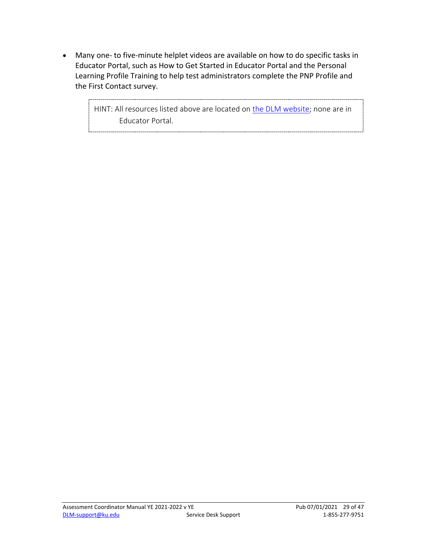• Many one- to five-minute helplet videos are available on how to do specific tasks in Educator Portal, such as How to Get Started in Educator Portal and the Personal Learning Profile Training to help test administrators complete the PNP Profile and the First Contact survey.

> HINT: All resources listed above are located on [the DLM website;](https://dynamiclearningmaps.org/) none are in Educator Portal.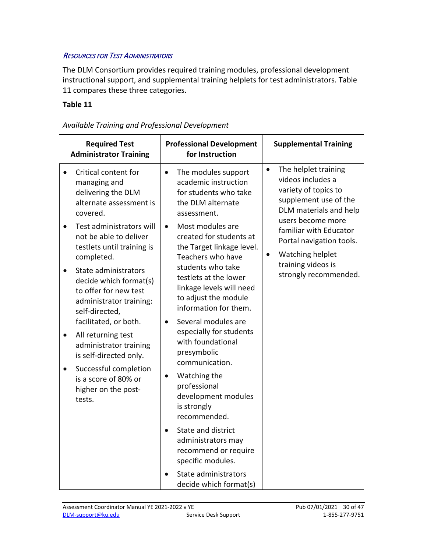#### <span id="page-29-0"></span>RESOURCES FOR TEST ADMINISTRATORS

 The DLM Consortium provides required training modules, professional development instructional support, and supplemental training helplets for test administrators. [Table](#page-29-1)  [11](#page-29-1) compares these three categories.

#### <span id="page-29-1"></span> **Table 11**

| <b>Required Test</b><br><b>Administrator Training</b> |                                                                                                                                                                                                                                                                                                                                                                                                      | <b>Professional Development</b><br>for Instruction                |                                                                                                                                                                                                                                                                                                                                                                                              |                        | <b>Supplemental Training</b>                                                                                                                                                                                                                                       |
|-------------------------------------------------------|------------------------------------------------------------------------------------------------------------------------------------------------------------------------------------------------------------------------------------------------------------------------------------------------------------------------------------------------------------------------------------------------------|-------------------------------------------------------------------|----------------------------------------------------------------------------------------------------------------------------------------------------------------------------------------------------------------------------------------------------------------------------------------------------------------------------------------------------------------------------------------------|------------------------|--------------------------------------------------------------------------------------------------------------------------------------------------------------------------------------------------------------------------------------------------------------------|
| $\bullet$<br>$\bullet$<br>$\bullet$<br>$\bullet$      | Critical content for<br>managing and<br>delivering the DLM<br>alternate assessment is<br>covered.<br>Test administrators will<br>not be able to deliver<br>testlets until training is<br>completed.<br>State administrators<br>decide which format(s)<br>to offer for new test<br>administrator training:<br>self-directed,<br>facilitated, or both.<br>All returning test<br>administrator training | $\bullet$<br>assessment.<br>$\bullet$<br>$\bullet$<br>presymbolic | The modules support<br>academic instruction<br>for students who take<br>the DLM alternate<br>Most modules are<br>created for students at<br>the Target linkage level.<br>Teachers who have<br>students who take<br>testlets at the lower<br>linkage levels will need<br>to adjust the module<br>information for them.<br>Several modules are<br>especially for students<br>with foundational | $\bullet$<br>$\bullet$ | The helplet training<br>videos includes a<br>variety of topics to<br>supplement use of the<br>DLM materials and help<br>users become more<br>familiar with Educator<br>Portal navigation tools.<br>Watching helplet<br>training videos is<br>strongly recommended. |
| $\bullet$                                             | is self-directed only.<br>Successful completion<br>$\bullet$<br>is a score of 80% or<br>higher on the post-<br>tests.                                                                                                                                                                                                                                                                                | professional<br>is strongly                                       | communication.<br>Watching the<br>development modules<br>recommended.<br>State and district<br>administrators may<br>recommend or require<br>specific modules.<br>State administrators<br>decide which format(s)                                                                                                                                                                             |                        |                                                                                                                                                                                                                                                                    |

*Available Training and Professional Development*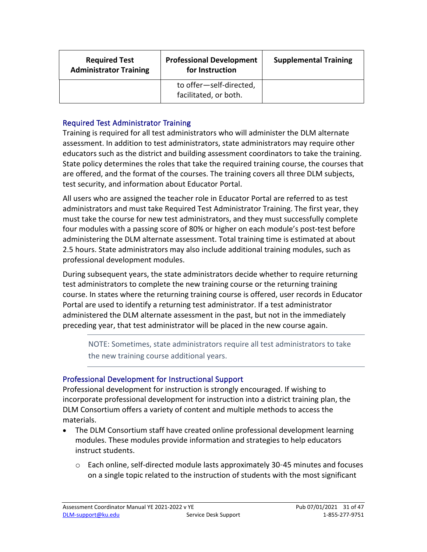| <b>Required Test</b><br><b>Administrator Training</b> | <b>Professional Development</b><br>for Instruction | <b>Supplemental Training</b> |
|-------------------------------------------------------|----------------------------------------------------|------------------------------|
|                                                       | to offer-self-directed,<br>facilitated, or both.   |                              |

#### Required Test Administrator Training

 assessment. In addition to test administrators, state administrators may require other educators such as the district and building assessment coordinators to take the training. State policy determines the roles that take the required training course, the courses that Training is required for all test administrators who will administer the DLM alternate are offered, and the format of the courses. The training covers all three DLM subjects, test security, and information about Educator Portal.

All users who are assigned the teacher role in Educator Portal are referred to as test administrators and must take Required Test Administrator Training. The first year, they must take the course for new test administrators, and they must successfully complete four modules with a passing score of 80% or higher on each module's post-test before administering the DLM alternate assessment. Total training time is estimated at about 2.5 hours. State administrators may also include additional training modules, such as professional development modules.

 preceding year, that test administrator will be placed in the new course again. During subsequent years, the state administrators decide whether to require returning test administrators to complete the new training course or the returning training course. In states where the returning training course is offered, user records in Educator Portal are used to identify a returning test administrator. If a test administrator administered the DLM alternate assessment in the past, but not in the immediately

NOTE: Sometimes, state administrators require all test administrators to take the new training course additional years.

#### Professional Development for Instructional Support

 DLM Consortium offers a variety of content and multiple methods to access the Professional development for instruction is strongly encouraged. If wishing to incorporate professional development for instruction into a district training plan, the materials.

- • The DLM Consortium staff have created online professional development learning modules. These modules provide information and strategies to help educators instruct students.
	- $\circ$  Each online, self-directed module lasts approximately 30-45 minutes and focuses on a single topic related to the instruction of students with the most significant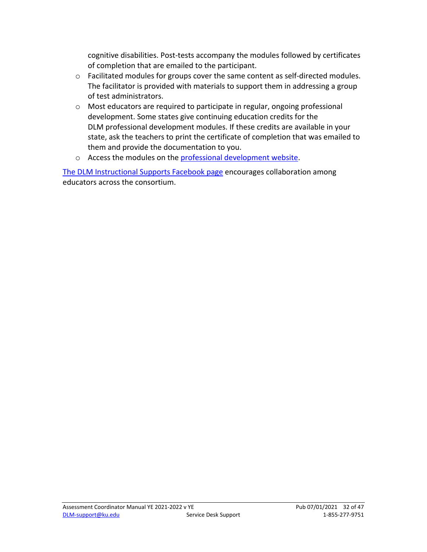cognitive disabilities. Post-tests accompany the modules followed by certificates of completion that are emailed to the participant.

- o Facilitated modules for groups cover the same content as self-directed modules. The facilitator is provided with materials to support them in addressing a group of test administrators.
- development. Some states give continuing education credits for the DLM professional development modules. If these credits are available in your state, ask the teachers to print the certificate of completion that was emailed to them and provide the documentation to you. o Most educators are required to participate in regular, ongoing professional
- <span id="page-31-0"></span>o Access the modules on the **professional development website**.

[The DLM Instructional Supports Facebook page](https://www.facebook.com/groups/495523254149676/) encourages collaboration among educators across the consortium.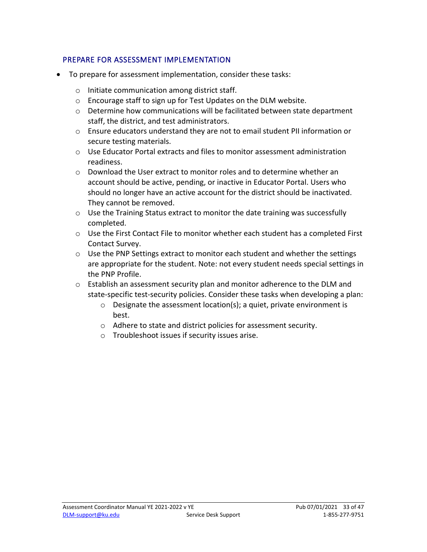#### <span id="page-32-0"></span>PREPARE FOR ASSESSMENT IMPLEMENTATION

- To prepare for assessment implementation, consider these tasks:
	- o Initiate communication among district staff.
	- o Encourage staff to sign up for Test Updates on the DLM website.
	- $\circ$  Determine how communications will be facilitated between state department staff, the district, and test administrators.
	- $\circ$  Ensure educators understand they are not to email student PII information or secure testing materials.
	- $\circ$  Use Educator Portal extracts and files to monitor assessment administration readiness.
	- o Download the User extract to monitor roles and to determine whether an account should be active, pending, or inactive in Educator Portal. Users who should no longer have an active account for the district should be inactivated. They cannot be removed.
	- $\circ$  Use the Training Status extract to monitor the date training was successfully completed.
	- o Use the First Contact File to monitor whether each student has a completed First Contact Survey.
	- $\circ$  Use the PNP Settings extract to monitor each student and whether the settings are appropriate for the student. Note: not every student needs special settings in the PNP Profile.
	- $\circ$  Establish an assessment security plan and monitor adherence to the DLM and state-specific test-security policies. Consider these tasks when developing a plan:
		- o Designate the assessment location(s); a quiet, private environment is best.
		- o Adhere to state and district policies for assessment security.
		- o Troubleshoot issues if security issues arise.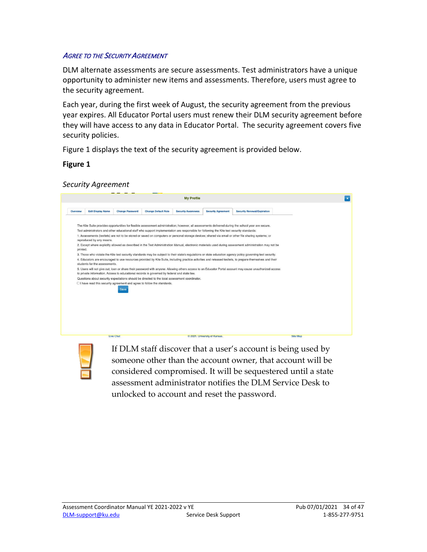#### <span id="page-33-1"></span><span id="page-33-0"></span>AGREE TO THE SECURITY AGREEMENT

DLM alternate assessments are secure assessments. Test administrators have a unique opportunity to administer new items and assessments. Therefore, users must agree to the security agreement.

 Each year, during the first week of August, the security agreement from the previous year expires. All Educator Portal users must renew their DLM security agreement before they will have access to any data in Educator Portal. The security agreement covers five security policies.

[Figure 1](#page-33-2) displays the text of the security agreement is provided below.

<span id="page-33-2"></span>**Figure 1** 

*Security Agreement* 

|          |                               |                        |                                                                                                                                                                                              | <b>My Profile</b>         |                               |                                                                                                                                                                                                                                                                                                                                                                                                                                                                                                                                                                                                                                                                                                                                                                                                     |                 |  |
|----------|-------------------------------|------------------------|----------------------------------------------------------------------------------------------------------------------------------------------------------------------------------------------|---------------------------|-------------------------------|-----------------------------------------------------------------------------------------------------------------------------------------------------------------------------------------------------------------------------------------------------------------------------------------------------------------------------------------------------------------------------------------------------------------------------------------------------------------------------------------------------------------------------------------------------------------------------------------------------------------------------------------------------------------------------------------------------------------------------------------------------------------------------------------------------|-----------------|--|
| Overview | <b>Edit Display Name</b>      | <b>Change Password</b> | <b>Change Default Role</b>                                                                                                                                                                   | <b>Security Awareness</b> | <b>Security Agreement</b>     | <b>Security Renewal/Expiration</b>                                                                                                                                                                                                                                                                                                                                                                                                                                                                                                                                                                                                                                                                                                                                                                  |                 |  |
| printed. | reproduced by any means.      |                        | Test administrators and other educational staff who support implementation are responsible for following the Kite test security standards:                                                   |                           |                               | The Kite Suite provides opportunities for flexible assessment administration; however, all assessments delivered during the school year are secure.<br>1. Assessments (testlets) are not to be stored or saved on computers or personal storage devices; shared via email or other file sharing systems; or<br>2. Except where explicitly allowed as described in the Test Administration Manual, electronic materials used during assessment administration may not be<br>3. Those who violate the Kite test security standards may be subject to their state's regulations or state education agency policy governing test security.<br>4. Educators are encouraged to use resources provided by Kite Suite, including practice activities and released testlets, to prepare themselves and their |                 |  |
|          | students for the assessments. |                        | to private information. Access to educational records is governed by federal and state law.<br>Questions about security expectations should be directed to the local assessment coordinator. |                           |                               | 5. Users will not give out, loan or share their password with anyone. Allowing others access to an Educator Portal account may cause unauthorized access                                                                                                                                                                                                                                                                                                                                                                                                                                                                                                                                                                                                                                            |                 |  |
|          |                               | Save                   | $\Box$ I have read this security agreement and agree to follow the standards.                                                                                                                |                           |                               |                                                                                                                                                                                                                                                                                                                                                                                                                                                                                                                                                                                                                                                                                                                                                                                                     |                 |  |
|          |                               |                        |                                                                                                                                                                                              |                           |                               |                                                                                                                                                                                                                                                                                                                                                                                                                                                                                                                                                                                                                                                                                                                                                                                                     |                 |  |
|          |                               | <b>Live Chat</b>       |                                                                                                                                                                                              |                           | © 2021. University of Kansas. |                                                                                                                                                                                                                                                                                                                                                                                                                                                                                                                                                                                                                                                                                                                                                                                                     | <b>Site Map</b> |  |

 considered compromised. It will be sequestered until a state If DLM staff discover that a user's account is being used by someone other than the account owner, that account will be assessment administrator notifies the DLM Service Desk to unlocked to account and reset the password.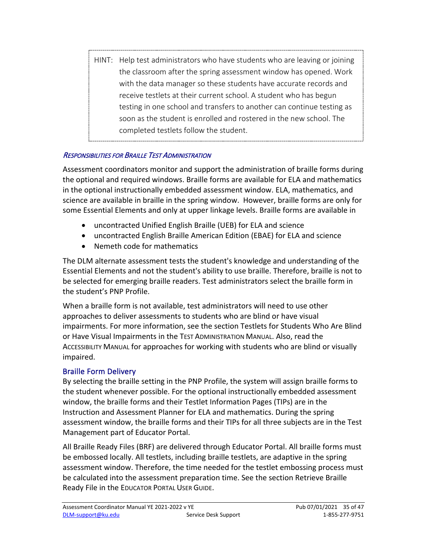HINT: Help test administrators who have students who are leaving or joining the classroom after the spring assessment window has opened. Work with the data manager so these students have accurate records and receive testlets at their current school. A student who has begun testing in one school and transfers to another can continue testing as soon as the student is enrolled and rostered in the new school. The completed testlets follow the student.

#### <span id="page-34-0"></span>RESPONSIBILITIES FOR BRAILLE TEST ADMINISTRATION

 the optional and required windows. Braille forms are available for ELA and mathematics science are available in braille in the spring window. However, braille forms are only for Assessment coordinators monitor and support the administration of braille forms during in the optional instructionally embedded assessment window. ELA, mathematics, and some Essential Elements and only at upper linkage levels. Braille forms are available in

- uncontracted Unified English Braille (UEB) for ELA and science
- uncontracted English Braille American Edition (EBAE) for ELA and science
- Nemeth code for mathematics

The DLM alternate assessment tests the student's knowledge and understanding of the Essential Elements and not the student's ability to use braille. Therefore, braille is not to be selected for emerging braille readers. Test administrators select the braille form in the student's PNP Profile.

 When a braille form is not available, test administrators will need to use other approaches to deliver assessments to students who are blind or have visual impairments. For more information, see the section Testlets for Students Who Are Blind or Have Visual Impairments in the TEST ADMINISTRATION MANUAL. Also, read the ACCESSIBILITY MANUAL for approaches for working with students who are blind or visually impaired.

#### Braille Form Delivery

 By selecting the braille setting in the PNP Profile, the system will assign braille forms to the student whenever possible. For the optional instructionally embedded assessment window, the braille forms and their Testlet Information Pages (TIPs) are in the assessment window, the braille forms and their TIPs for all three subjects are in the Test Management part of Educator Portal. Instruction and Assessment Planner for ELA and mathematics. During the spring

 Ready File in the EDUCATOR PORTAL USER GUIDE. All Braille Ready Files (BRF) are delivered through Educator Portal. All braille forms must be embossed locally. All testlets, including braille testlets, are adaptive in the spring assessment window. Therefore, the time needed for the testlet embossing process must be calculated into the assessment preparation time. See the section Retrieve Braille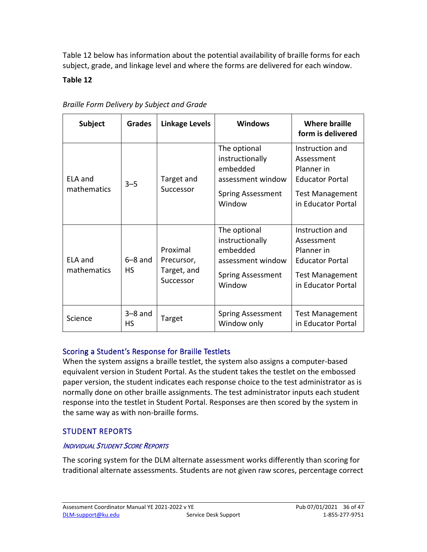[Table 12](#page-35-2) below has information about the potential availability of braille forms for each subject, grade, and linkage level and where the forms are delivered for each window.

#### <span id="page-35-2"></span>**Table 12**

| <b>Subject</b>         | <b>Grades</b>     | <b>Linkage Levels</b>                              | <b>Windows</b>                                                                                         | <b>Where braille</b><br>form is delivered                                                                             |
|------------------------|-------------------|----------------------------------------------------|--------------------------------------------------------------------------------------------------------|-----------------------------------------------------------------------------------------------------------------------|
| ELA and<br>mathematics | $3 - 5$           | Target and<br>Successor                            | The optional<br>instructionally<br>embedded<br>assessment window<br><b>Spring Assessment</b><br>Window | Instruction and<br>Assessment<br>Planner in<br><b>Educator Portal</b><br><b>Test Management</b><br>in Educator Portal |
| ELA and<br>mathematics | $6 - 8$ and<br>НS | Proximal<br>Precursor,<br>Target, and<br>Successor | The optional<br>instructionally<br>embedded<br>assessment window<br><b>Spring Assessment</b><br>Window | Instruction and<br>Assessment<br>Planner in<br><b>Educator Portal</b><br><b>Test Management</b><br>in Educator Portal |
| Science                | $3-8$ and<br>НS   | Target                                             | <b>Spring Assessment</b><br>Window only                                                                | <b>Test Management</b><br>in Educator Portal                                                                          |

#### *Braille Form Delivery by Subject and Grade*

#### Scoring a Student's Response for Braille Testlets

 paper version, the student indicates each response choice to the test administrator as is When the system assigns a braille testlet, the system also assigns a computer-based equivalent version in Student Portal. As the student takes the testlet on the embossed normally done on other braille assignments. The test administrator inputs each student response into the testlet in Student Portal. Responses are then scored by the system in the same way as with non-braille forms.

### <span id="page-35-0"></span>STUDENT REPORTS

#### <span id="page-35-1"></span>INDIVIDUAL STUDENT SCORE REPORTS

 The scoring system for the DLM alternate assessment works differently than scoring for traditional alternate assessments. Students are not given raw scores, percentage correct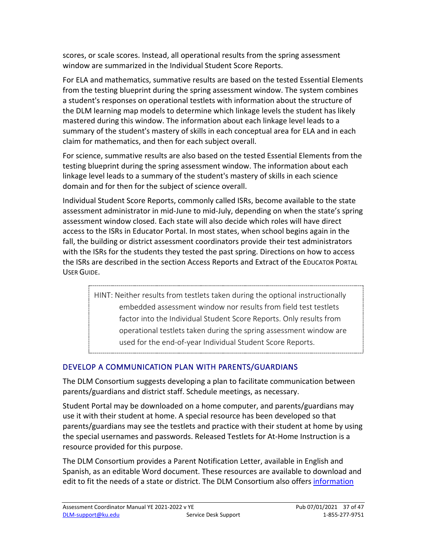scores, or scale scores. Instead, all operational results from the spring assessment window are summarized in the Individual Student Score Reports.

 from the testing blueprint during the spring assessment window. The system combines the DLM learning map models to determine which linkage levels the student has likely mastered during this window. The information about each linkage level leads to a For ELA and mathematics, summative results are based on the tested Essential Elements a student's responses on operational testlets with information about the structure of summary of the student's mastery of skills in each conceptual area for ELA and in each claim for mathematics, and then for each subject overall.

 For science, summative results are also based on the tested Essential Elements from the linkage level leads to a summary of the student's mastery of skills in each science testing blueprint during the spring assessment window. The information about each domain and for then for the subject of science overall.

 Individual Student Score Reports, commonly called ISRs, become available to the state assessment administrator in mid-June to mid-July, depending on when the state's spring access to the ISRs in Educator Portal. In most states, when school begins again in the with the ISRs for the students they tested the past spring. Directions on how to access the ISRs are described in the section Access Reports and Extract of the EDUCATOR PORTAL assessment window closed. Each state will also decide which roles will have direct fall, the building or district assessment coordinators provide their test administrators USER GUIDE.

> HINT: Neither results from testlets taken during the optional instructionally factor into the Individual Student Score Reports. Only results from embedded assessment window nor results from field test testlets operational testlets taken during the spring assessment window are used for the end-of-year Individual Student Score Reports.

#### <span id="page-36-0"></span>DEVELOP A COMMUNICATION PLAN WITH PARENTS/GUARDIANS

The DLM Consortium suggests developing a plan to facilitate communication between parents/guardians and district staff. Schedule meetings, as necessary.

Student Portal may be downloaded on a home computer, and parents/guardians may use it with their student at home. A special resource has been developed so that parents/guardians may see the testlets and practice with their student at home by using the special usernames and passwords. Released Testlets for At-Home Instruction is a resource provided for this purpose.

The DLM Consortium provides a Parent Notification Letter, available in English and Spanish, as an editable Word document. These resources are available to download and edit to fit the needs of a state or district. The DLM Consortium also offers [information](https://dynamiclearningmaps.org/dlm-assessments#parents)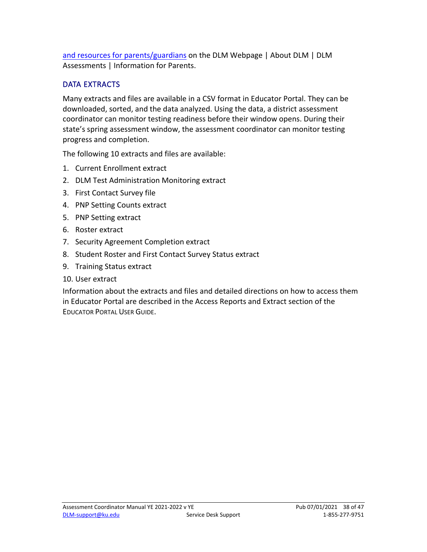[and resources for parents/guardians](https://dynamiclearningmaps.org/dlm-assessments#parents) on the DLM Webpage | About DLM | DLM Assessments | Information for Parents.

#### <span id="page-37-0"></span>DATA EXTRACTS

 Many extracts and files are available in a CSV format in Educator Portal. They can be downloaded, sorted, and the data analyzed. Using the data, a district assessment coordinator can monitor testing readiness before their window opens. During their state's spring assessment window, the assessment coordinator can monitor testing progress and completion.

The following 10 extracts and files are available:

- 1. Current Enrollment extract
- 2. DLM Test Administration Monitoring extract
- 3. First Contact Survey file
- 4. PNP Setting Counts extract
- 5. PNP Setting extract
- 6. Roster extract
- 7. Security Agreement Completion extract
- 8. Student Roster and First Contact Survey Status extract
- 9. Training Status extract
- 10. User extract

 in Educator Portal are described in the Access Reports and Extract section of the EDUCATOR PORTAL USER GUIDE. Information about the extracts and files and detailed directions on how to access them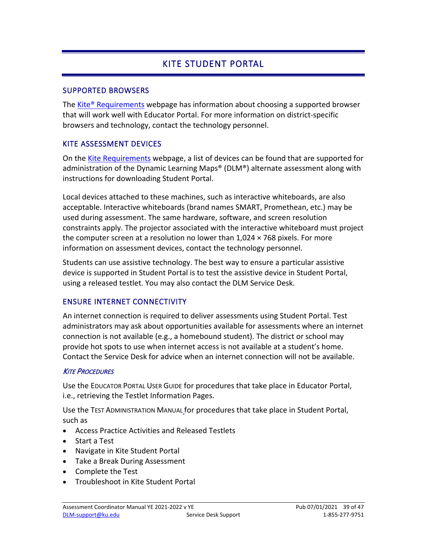# KITE STUDENT PORTAL

#### <span id="page-38-1"></span><span id="page-38-0"></span>SUPPORTED BROWSERS

The [Kite® Requirements](https://dynamiclearningmaps.org/supported-web-browsers-kite-educator-portal) webpage has information about choosing a supported browser that will work well with Educator Portal. For more information on district-specific browsers and technology, contact the technology personnel.

#### <span id="page-38-2"></span>KITE ASSESSMENT DEVICES

 administration of the Dynamic Learning Maps® (DLM®) alternate assessment along with On the [Kite Requirements](https://dynamiclearningmaps.org/supported-web-browsers-kite-educator-portal) webpage, a list of devices can be found that are supported for instructions for downloading Student Portal.

 acceptable. Interactive whiteboards (brand names SMART, Promethean, etc.) may be constraints apply. The projector associated with the interactive whiteboard must project Local devices attached to these machines, such as interactive whiteboards, are also used during assessment. The same hardware, software, and screen resolution the computer screen at a resolution no lower than  $1,024 \times 768$  pixels. For more information on assessment devices, contact the technology personnel.

 device is supported in Student Portal is to test the assistive device in Student Portal, Students can use assistive technology. The best way to ensure a particular assistive using a released testlet. You may also contact the DLM Service Desk.

#### <span id="page-38-3"></span>ENSURE INTERNET CONNECTIVITY

 provide hot spots to use when internet access is not available at a student's home. An internet connection is required to deliver assessments using Student Portal. Test administrators may ask about opportunities available for assessments where an internet connection is not available (e.g., a homebound student). The district or school may Contact the Service Desk for advice when an internet connection will not be available.

#### <span id="page-38-4"></span>**KITE PROCEDURES**

 Use the EDUCATOR PORTAL USER GUIDE for procedures that take place in Educator Portal, i.e., retrieving the Testlet Information Pages.

Use the TEST ADMINISTRATION MANUAL for procedures that take place in Student Portal, such as

- Access Practice Activities and Released Testlets
- Start a Test
- Navigate in Kite Student Portal
- Take a Break During Assessment
- Complete the Test
- Troubleshoot in Kite Student Portal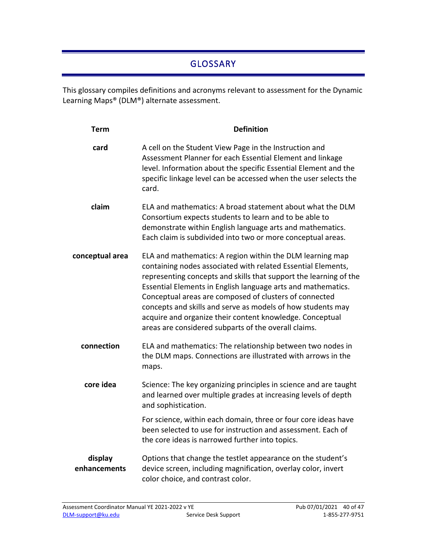# GLOSSARY

<span id="page-39-0"></span>This glossary compiles definitions and acronyms relevant to assessment for the Dynamic Learning Maps® (DLM®) alternate assessment.

| <b>Term</b>             | <b>Definition</b>                                                                                                                                                                                                                                                                                                                                                                                                                                                                                           |
|-------------------------|-------------------------------------------------------------------------------------------------------------------------------------------------------------------------------------------------------------------------------------------------------------------------------------------------------------------------------------------------------------------------------------------------------------------------------------------------------------------------------------------------------------|
| card                    | A cell on the Student View Page in the Instruction and<br>Assessment Planner for each Essential Element and linkage<br>level. Information about the specific Essential Element and the<br>specific linkage level can be accessed when the user selects the<br>card.                                                                                                                                                                                                                                         |
| claim                   | ELA and mathematics: A broad statement about what the DLM<br>Consortium expects students to learn and to be able to<br>demonstrate within English language arts and mathematics.<br>Each claim is subdivided into two or more conceptual areas.                                                                                                                                                                                                                                                             |
| conceptual area         | ELA and mathematics: A region within the DLM learning map<br>containing nodes associated with related Essential Elements,<br>representing concepts and skills that support the learning of the<br>Essential Elements in English language arts and mathematics.<br>Conceptual areas are composed of clusters of connected<br>concepts and skills and serve as models of how students may<br>acquire and organize their content knowledge. Conceptual<br>areas are considered subparts of the overall claims. |
| connection              | ELA and mathematics: The relationship between two nodes in<br>the DLM maps. Connections are illustrated with arrows in the<br>maps.                                                                                                                                                                                                                                                                                                                                                                         |
| core idea               | Science: The key organizing principles in science and are taught<br>and learned over multiple grades at increasing levels of depth<br>and sophistication.                                                                                                                                                                                                                                                                                                                                                   |
|                         | For science, within each domain, three or four core ideas have<br>been selected to use for instruction and assessment. Each of<br>the core ideas is narrowed further into topics.                                                                                                                                                                                                                                                                                                                           |
| display<br>enhancements | Options that change the testlet appearance on the student's<br>device screen, including magnification, overlay color, invert<br>color choice, and contrast color.                                                                                                                                                                                                                                                                                                                                           |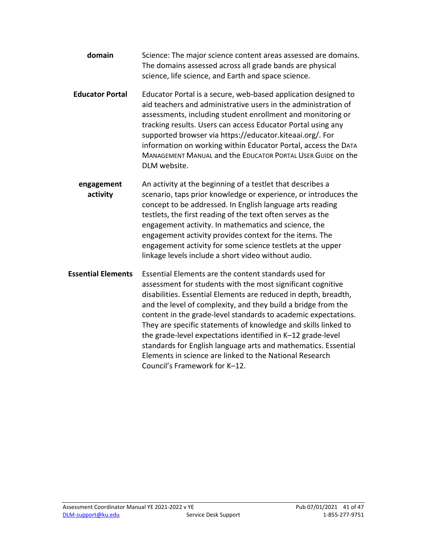- **domain** Science: The major science content areas assessed are domains. The domains assessed across all grade bands are physical science, life science, and Earth and space science.
- assessments, including student enrollment and monitoring or MANAGEMENT MANUAL and the EDUCATOR PORTAL USER GUIDE on the **Educator Portal** Educator Portal is a secure, web-based application designed to aid teachers and administrative users in the administration of tracking results. Users can access Educator Portal using any supported browser via https://educator.kiteaai.org/. For information on working within Educator Portal, access the DATA DLM website.
- **engagement** An activity at the beginning of a testlet that describes a **activity** scenario, taps prior knowledge or experience, or introduces the concept to be addressed. In English language arts reading testlets, the first reading of the text often serves as the engagement activity. In mathematics and science, the engagement activity provides context for the items. The engagement activity for some science testlets at the upper linkage levels include a short video without audio.
- **Essential Elements** Essential Elements are the content standards used for assessment for students with the most significant cognitive disabilities. Essential Elements are reduced in depth, breadth, and the level of complexity, and they build a bridge from the content in the grade-level standards to academic expectations. They are specific statements of knowledge and skills linked to the grade-level expectations identified in K–12 grade-level standards for English language arts and mathematics. Essential Elements in science are linked to the National Research Council's Framework for K–12.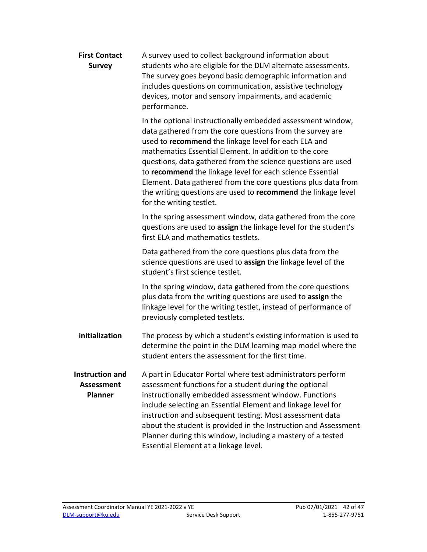| <b>First Contact</b><br><b>Survey</b>                         | A survey used to collect background information about<br>students who are eligible for the DLM alternate assessments.<br>The survey goes beyond basic demographic information and<br>includes questions on communication, assistive technology<br>devices, motor and sensory impairments, and academic<br>performance.                                                                                                                                                                                                                |
|---------------------------------------------------------------|---------------------------------------------------------------------------------------------------------------------------------------------------------------------------------------------------------------------------------------------------------------------------------------------------------------------------------------------------------------------------------------------------------------------------------------------------------------------------------------------------------------------------------------|
|                                                               | In the optional instructionally embedded assessment window,<br>data gathered from the core questions from the survey are<br>used to recommend the linkage level for each ELA and<br>mathematics Essential Element. In addition to the core<br>questions, data gathered from the science questions are used<br>to recommend the linkage level for each science Essential<br>Element. Data gathered from the core questions plus data from<br>the writing questions are used to recommend the linkage level<br>for the writing testlet. |
|                                                               | In the spring assessment window, data gathered from the core<br>questions are used to assign the linkage level for the student's<br>first ELA and mathematics testlets.                                                                                                                                                                                                                                                                                                                                                               |
|                                                               | Data gathered from the core questions plus data from the<br>science questions are used to assign the linkage level of the<br>student's first science testlet.                                                                                                                                                                                                                                                                                                                                                                         |
|                                                               | In the spring window, data gathered from the core questions<br>plus data from the writing questions are used to assign the<br>linkage level for the writing testlet, instead of performance of<br>previously completed testlets.                                                                                                                                                                                                                                                                                                      |
| initialization                                                | The process by which a student's existing information is used to<br>determine the point in the DLM learning map model where the<br>student enters the assessment for the first time.                                                                                                                                                                                                                                                                                                                                                  |
| <b>Instruction and</b><br><b>Assessment</b><br><b>Planner</b> | A part in Educator Portal where test administrators perform<br>assessment functions for a student during the optional<br>instructionally embedded assessment window. Functions<br>include selecting an Essential Element and linkage level for<br>instruction and subsequent testing. Most assessment data<br>about the student is provided in the Instruction and Assessment<br>Planner during this window, including a mastery of a tested<br>Essential Element at a linkage level.                                                 |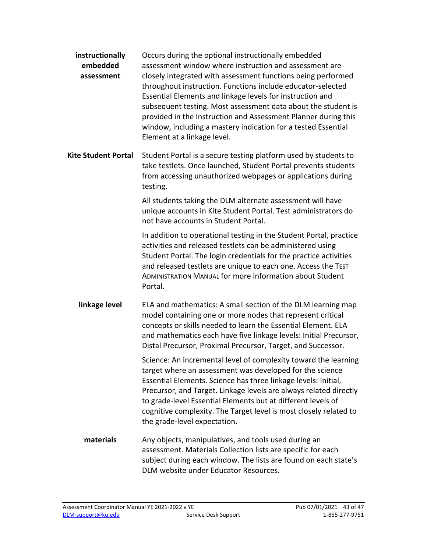| instructionally<br>embedded<br>assessment | Occurs during the optional instructionally embedded<br>assessment window where instruction and assessment are<br>closely integrated with assessment functions being performed<br>throughout instruction. Functions include educator-selected<br>Essential Elements and linkage levels for instruction and<br>subsequent testing. Most assessment data about the student is<br>provided in the Instruction and Assessment Planner during this<br>window, including a mastery indication for a tested Essential<br>Element at a linkage level. |
|-------------------------------------------|----------------------------------------------------------------------------------------------------------------------------------------------------------------------------------------------------------------------------------------------------------------------------------------------------------------------------------------------------------------------------------------------------------------------------------------------------------------------------------------------------------------------------------------------|
| <b>Kite Student Portal</b>                | Student Portal is a secure testing platform used by students to<br>take testlets. Once launched, Student Portal prevents students<br>from accessing unauthorized webpages or applications during<br>testing.                                                                                                                                                                                                                                                                                                                                 |
|                                           | All students taking the DLM alternate assessment will have<br>unique accounts in Kite Student Portal. Test administrators do<br>not have accounts in Student Portal.                                                                                                                                                                                                                                                                                                                                                                         |
|                                           | In addition to operational testing in the Student Portal, practice<br>activities and released testlets can be administered using<br>Student Portal. The login credentials for the practice activities<br>and released testlets are unique to each one. Access the TEST<br>ADMINISTRATION MANUAL for more information about Student<br>Portal.                                                                                                                                                                                                |
| linkage level                             | ELA and mathematics: A small section of the DLM learning map<br>model containing one or more nodes that represent critical<br>concepts or skills needed to learn the Essential Element. ELA<br>and mathematics each have five linkage levels: Initial Precursor,<br>Distal Precursor, Proximal Precursor, Target, and Successor.                                                                                                                                                                                                             |
|                                           | Science: An incremental level of complexity toward the learning<br>target where an assessment was developed for the science<br>Essential Elements. Science has three linkage levels: Initial,<br>Precursor, and Target. Linkage levels are always related directly<br>to grade-level Essential Elements but at different levels of<br>cognitive complexity. The Target level is most closely related to<br>the grade-level expectation.                                                                                                      |
| materials                                 | Any objects, manipulatives, and tools used during an<br>assessment. Materials Collection lists are specific for each<br>subject during each window. The lists are found on each state's<br>DLM website under Educator Resources.                                                                                                                                                                                                                                                                                                             |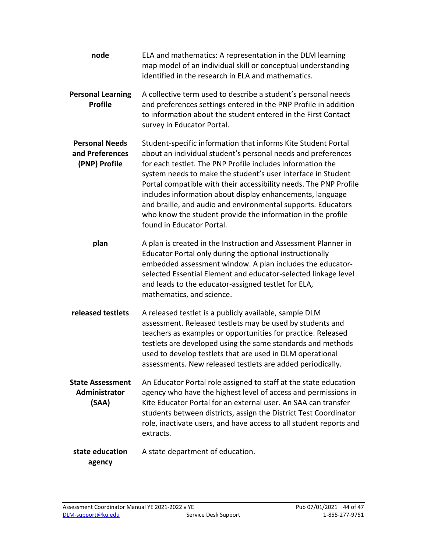**released testlets** A released testlet is a publicly available, sample DLM teachers as examples or opportunities for practice. Released **node** ELA and mathematics: A representation in the DLM learning map model of an individual skill or conceptual understanding identified in the research in ELA and mathematics. **Personal Learning Profile**  A collective term used to describe a student's personal needs and preferences settings entered in the PNP Profile in addition to information about the student entered in the First Contact survey in Educator Portal. **Personal Needs and Preferences (PNP) Profile**  Student-specific information that informs Kite Student Portal about an individual student's personal needs and preferences for each testlet. The PNP Profile includes information the system needs to make the student's user interface in Student Portal compatible with their accessibility needs. The PNP Profile includes information about display enhancements, language and braille, and audio and environmental supports. Educators who know the student provide the information in the profile found in Educator Portal. **plan** A plan is created in the Instruction and Assessment Planner in Educator Portal only during the optional instructionally embedded assessment window. A plan includes the educatorselected Essential Element and educator-selected linkage level and leads to the educator-assigned testlet for ELA, mathematics, and science. assessment. Released testlets may be used by students and testlets are developed using the same standards and methods used to develop testlets that are used in DLM operational assessments. New released testlets are added periodically. **State Assessment Administrator (SAA)**  An Educator Portal role assigned to staff at the state education agency who have the highest level of access and permissions in Kite Educator Portal for an external user. An SAA can transfer students between districts, assign the District Test Coordinator role, inactivate users, and have access to all student reports and extracts. **state education** A state department of education. **agency**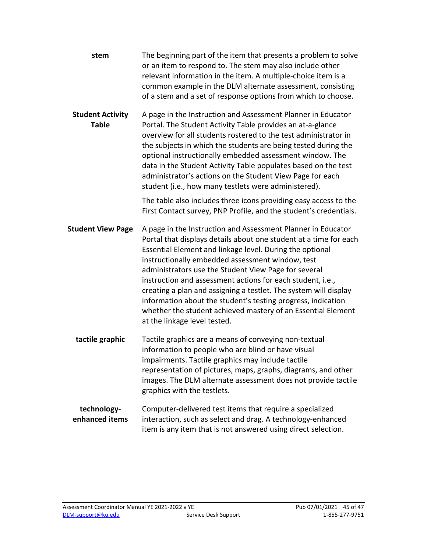| stem                                    | The beginning part of the item that presents a problem to solve<br>or an item to respond to. The stem may also include other<br>relevant information in the item. A multiple-choice item is a<br>common example in the DLM alternate assessment, consisting<br>of a stem and a set of response options from which to choose.                                                                                                                                                                                                                                                                                |
|-----------------------------------------|-------------------------------------------------------------------------------------------------------------------------------------------------------------------------------------------------------------------------------------------------------------------------------------------------------------------------------------------------------------------------------------------------------------------------------------------------------------------------------------------------------------------------------------------------------------------------------------------------------------|
| <b>Student Activity</b><br><b>Table</b> | A page in the Instruction and Assessment Planner in Educator<br>Portal. The Student Activity Table provides an at-a-glance<br>overview for all students rostered to the test administrator in<br>the subjects in which the students are being tested during the<br>optional instructionally embedded assessment window. The<br>data in the Student Activity Table populates based on the test<br>administrator's actions on the Student View Page for each<br>student (i.e., how many testlets were administered).                                                                                          |
|                                         | The table also includes three icons providing easy access to the<br>First Contact survey, PNP Profile, and the student's credentials.                                                                                                                                                                                                                                                                                                                                                                                                                                                                       |
| <b>Student View Page</b>                | A page in the Instruction and Assessment Planner in Educator<br>Portal that displays details about one student at a time for each<br>Essential Element and linkage level. During the optional<br>instructionally embedded assessment window, test<br>administrators use the Student View Page for several<br>instruction and assessment actions for each student, i.e.,<br>creating a plan and assigning a testlet. The system will display<br>information about the student's testing progress, indication<br>whether the student achieved mastery of an Essential Element<br>at the linkage level tested. |
| tactile graphic                         | Tactile graphics are a means of conveying non-textual<br>information to people who are blind or have visual<br>impairments. Tactile graphics may include tactile<br>representation of pictures, maps, graphs, diagrams, and other<br>images. The DLM alternate assessment does not provide tactile<br>graphics with the testlets.                                                                                                                                                                                                                                                                           |
| technology-<br>enhanced items           | Computer-delivered test items that require a specialized<br>interaction, such as select and drag. A technology-enhanced<br>item is any item that is not answered using direct selection.                                                                                                                                                                                                                                                                                                                                                                                                                    |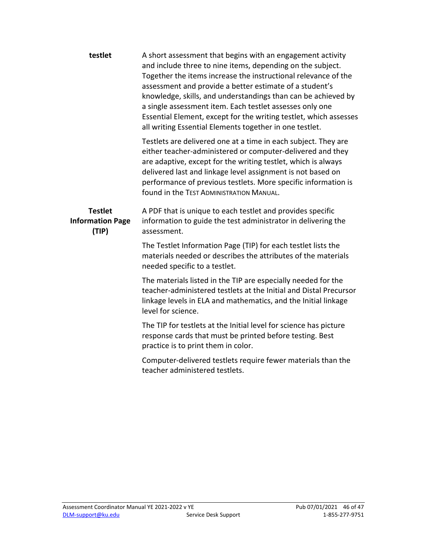| testlet                                            | A short assessment that begins with an engagement activity<br>and include three to nine items, depending on the subject.<br>Together the items increase the instructional relevance of the<br>assessment and provide a better estimate of a student's<br>knowledge, skills, and understandings than can be achieved by<br>a single assessment item. Each testlet assesses only one<br>Essential Element, except for the writing testlet, which assesses<br>all writing Essential Elements together in one testlet. |
|----------------------------------------------------|--------------------------------------------------------------------------------------------------------------------------------------------------------------------------------------------------------------------------------------------------------------------------------------------------------------------------------------------------------------------------------------------------------------------------------------------------------------------------------------------------------------------|
|                                                    | Testlets are delivered one at a time in each subject. They are<br>either teacher-administered or computer-delivered and they<br>are adaptive, except for the writing testlet, which is always<br>delivered last and linkage level assignment is not based on<br>performance of previous testlets. More specific information is<br>found in the TEST ADMINISTRATION MANUAL.                                                                                                                                         |
| <b>Testlet</b><br><b>Information Page</b><br>(TIP) | A PDF that is unique to each testlet and provides specific<br>information to guide the test administrator in delivering the<br>assessment.                                                                                                                                                                                                                                                                                                                                                                         |
|                                                    | The Testlet Information Page (TIP) for each testlet lists the<br>materials needed or describes the attributes of the materials<br>needed specific to a testlet.                                                                                                                                                                                                                                                                                                                                                    |
|                                                    | The materials listed in the TIP are especially needed for the<br>teacher-administered testlets at the Initial and Distal Precursor<br>linkage levels in ELA and mathematics, and the Initial linkage<br>level for science.                                                                                                                                                                                                                                                                                         |
|                                                    | The TIP for testlets at the Initial level for science has picture<br>response cards that must be printed before testing. Best<br>practice is to print them in color.                                                                                                                                                                                                                                                                                                                                               |
|                                                    | Computer-delivered testlets require fewer materials than the<br>teacher administered testlets.                                                                                                                                                                                                                                                                                                                                                                                                                     |